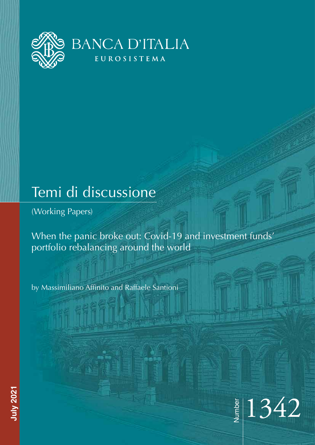

# Temi di discussione

(Working Papers)

When the panic broke out: Covid-19 and investment funds' portfolio rebalancing around the world

by Massimiliano Affinito and Raffaele Santioni



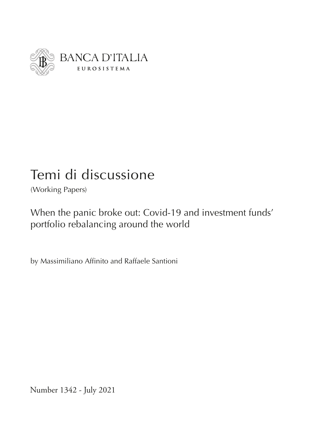

# Temi di discussione

(Working Papers)

When the panic broke out: Covid-19 and investment funds' portfolio rebalancing around the world

by Massimiliano Affinito and Raffaele Santioni

Number 1342 - July 2021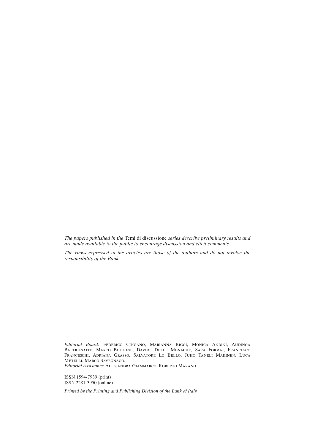*The papers published in the* Temi di discussione *series describe preliminary results and are made available to the public to encourage discussion and elicit comments.*

*The views expressed in the articles are those of the authors and do not involve the responsibility of the Bank.*

*Editorial Board:* Federico Cingano, Marianna Riggi, Monica Andini, Audinga Baltrunaite, Marco Bottone, Davide Delle Monache, Sara Formai, Francesco Franceschi, Adriana Grasso, Salvatore Lo Bello, Juho Taneli Makinen, Luca Metelli, Marco Savegnago.

*Editorial Assistants:* Alessandra Giammarco, Roberto Marano.

ISSN 1594-7939 (print) ISSN 2281-3950 (online)

*Printed by the Printing and Publishing Division of the Bank of Italy*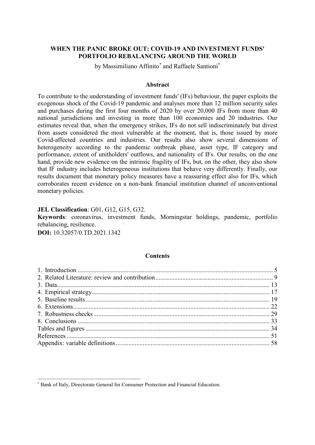# **WHEN THE PANIC BROKE OUT: COVID-19 AND INVESTMENT FUNDS' PORTFOLIO REBALANCING AROUND THE WORLD**

by Massimiliano Affinito<sup>\*</sup> and Raffaele Santioni<sup>\*</sup>

# **Abstract**

To contribute to the understanding of investment funds' (IFs) behaviour, the paper exploits the exogenous shock of the Covid-19 pandemic and analyses more than 12 million security sales and purchases during the first four months of 2020 by over 20,000 IFs from more than 40 national jurisdictions and investing in more than 100 economies and 20 industries. Our estimates reveal that, when the emergency strikes, IFs do not sell indiscriminately but divest from assets considered the most vulnerable at the moment, that is, those issued by more Covid-affected countries and industries. Our results also show several dimensions of heterogeneity according to the pandemic outbreak phase, asset type, IF category and performance, extent of unitholders' outflows, and nationality of IFs. Our results, on the one hand, provide new evidence on the intrinsic fragility of IFs, but, on the other, they also show that IF industry includes heterogeneous institutions that behave very differently. Finally, our results document that monetary policy measures have a reassuring effect also for IFs, which corroborates recent evidence on a non-bank financial institution channel of unconventional monetary policies.

**JEL Classification**: G01, G12, G15, G32.

 $\overline{\mathcal{L}}$  , and the set of the set of the set of the set of the set of the set of the set of the set of the set of the set of the set of the set of the set of the set of the set of the set of the set of the set of the s

**Keywords**: coronavirus, investment funds, Morningstar holdings, pandemic, portfolio rebalancing, resilience.

**DOI:** [10.32057/0.TD.2021.1342](https://www.bancaditalia.it/pubblicazioni/temi-discussione/2021/2021-1342/index.html)

# **Contents**

<sup>\*</sup> Bank of Italy, Directorate General for Consumer Protection and Financial Education.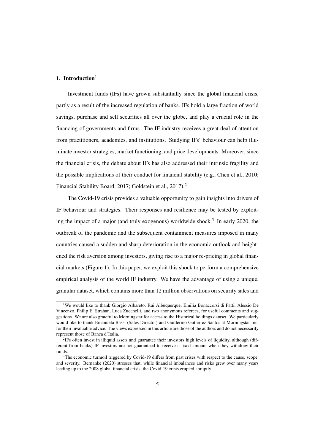# [1](#page--1-0). Introduction $1$

Investment funds (IFs) have grown substantially since the global financial crisis, partly as a result of the increased regulation of banks. IFs hold a large fraction of world savings, purchase and sell securities all over the globe, and play a crucial role in the financing of governments and firms. The IF industry receives a great deal of attention from practitioners, academics, and institutions. Studying IFs' behaviour can help illuminate investor strategies, market functioning, and price developments. Moreover, since the financial crisis, the debate about IFs has also addressed their intrinsic fragility and the possible implications of their conduct for financial stability (e.g., [Chen et al., 2010;](#page--1-1) [Financial Stability Board, 2017;](#page--1-2) [Goldstein et al., 2017\)](#page--1-3).<sup>[2](#page--1-0)</sup>

The Covid-19 crisis provides a valuable opportunity to gain insights into drivers of IF behaviour and strategies. Their responses and resilience may be tested by exploit-ing the impact of a major (and truly exogenous) worldwide shock.<sup>[3](#page--1-0)</sup> In early 2020, the outbreak of the pandemic and the subsequent containment measures imposed in many countries caused a sudden and sharp deterioration in the economic outlook and heightened the risk aversion among investors, giving rise to a major re-pricing in global financial markets (Figure [1\)](#page--1-4). In this paper, we exploit this shock to perform a comprehensive empirical analysis of the world IF industry. We have the advantage of using a unique, granular dataset, which contains more than 12 million observations on security sales and

<sup>&</sup>lt;sup>1</sup>We would like to thank Giorgio Albareto, Rui Albuquerque, Emilia Bonaccorsi di Patti, Alessio De Vincenzo, Philip E. Strahan, Luca Zucchelli, and two anonymous referees, for useful comments and suggestions. We are also grateful to Morningstar for access to the Historical holdings dataset. We particularly would like to thank Emanuela Bassi (Sales Director) and Guillermo Gutierrez Santos at Morningstar Inc. for their invaluable advice. The views expressed in this article are those of the authors and do not necessarily represent those of Banca d'Italia.

<sup>&</sup>lt;sup>2</sup>IFs often invest in illiquid assets and guarantee their investors high levels of liquidity, although (different from banks) IF investors are not guaranteed to receive a fixed amount when they withdraw their funds.

<sup>&</sup>lt;sup>3</sup>The economic turmoil triggered by Covid-19 differs from past crises with respect to the cause, scope, and severity. [Bernanke](#page--1-5) [\(2020\)](#page--1-5) stresses that, while financial imbalances and risks grew over many years leading up to the 2008 global financial crisis, the Covid-19 crisis erupted abruptly.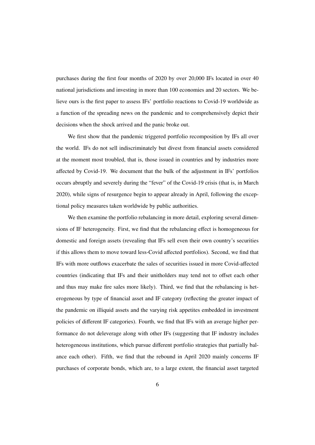purchases during the first four months of 2020 by over 20,000 IFs located in over 40 national jurisdictions and investing in more than 100 economies and 20 sectors. We believe ours is the first paper to assess IFs' portfolio reactions to Covid-19 worldwide as a function of the spreading news on the pandemic and to comprehensively depict their decisions when the shock arrived and the panic broke out.

We first show that the pandemic triggered portfolio recomposition by IFs all over the world. IFs do not sell indiscriminately but divest from financial assets considered at the moment most troubled, that is, those issued in countries and by industries more affected by Covid-19. We document that the bulk of the adjustment in IFs' portfolios occurs abruptly and severely during the "fever" of the Covid-19 crisis (that is, in March 2020), while signs of resurgence begin to appear already in April, following the exceptional policy measures taken worldwide by public authorities.

We then examine the portfolio rebalancing in more detail, exploring several dimensions of IF heterogeneity. First, we find that the rebalancing effect is homogeneous for domestic and foreign assets (revealing that IFs sell even their own country's securities if this allows them to move toward less-Covid affected portfolios). Second, we find that IFs with more outflows exacerbate the sales of securities issued in more Covid-affected countries (indicating that IFs and their unitholders may tend not to offset each other and thus may make fire sales more likely). Third, we find that the rebalancing is heterogeneous by type of financial asset and IF category (reflecting the greater impact of the pandemic on illiquid assets and the varying risk appetites embedded in investment policies of different IF categories). Fourth, we find that IFs with an average higher performance do not deleverage along with other IFs (suggesting that IF industry includes heterogeneous institutions, which pursue different portfolio strategies that partially balance each other). Fifth, we find that the rebound in April 2020 mainly concerns IF purchases of corporate bonds, which are, to a large extent, the financial asset targeted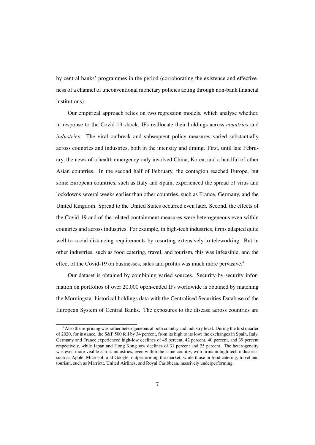by central banks' programmes in the period (corroborating the existence and effectiveness of a channel of unconventional monetary policies acting through non-bank financial institutions).

Our empirical approach relies on two regression models, which analyse whether, in response to the Covid-19 shock, IFs reallocate their holdings across *countries* and *industries*. The viral outbreak and subsequent policy measures varied substantially across countries and industries, both in the intensity and timing. First, until late February, the news of a health emergency only involved China, Korea, and a handful of other Asian countries. In the second half of February, the contagion reached Europe, but some European countries, such as Italy and Spain, experienced the spread of virus and lockdowns several weeks earlier than other countries, such as France, Germany, and the United Kingdom. Spread to the United States occurred even later. Second, the effects of the Covid-19 and of the related containment measures were heterogeneous even within countries and across industries. For example, in high-tech industries, firms adapted quite well to social distancing requirements by resorting extensively to teleworking. But in other industries, such as food catering, travel, and tourism, this was infeasible, and the effect of the Covid-19 on businesses, sales and profits was much more pervasive.<sup>[4](#page--1-0)</sup>

Our dataset is obtained by combining varied sources. Security-by-security information on portfolios of over 20,000 open-ended IFs worldwide is obtained by matching the Morningstar historical holdings data with the Centralised Securities Database of the European System of Central Banks. The exposures to the disease across countries are

<sup>4</sup>Also the re-pricing was rather heterogeneous at both country and industry level. During the first quarter of 2020, for instance, the S&P 500 fell by 34 percent, from its high to its low; the exchanges in Spain, Italy, Germany and France experienced high-low declines of 45 percent, 42 percent, 40 percent, and 39 percent respectively, while Japan and Hong Kong saw declines of 31 percent and 25 percent. The heterogeneity was even more visible across industries, even within the same country, with firms in high-tech industries, such as Apple, Microsoft and Google, outperforming the market, while those in food catering, travel and tourism, such as Marriott, United Airlines, and Royal Caribbean, massively underperforming.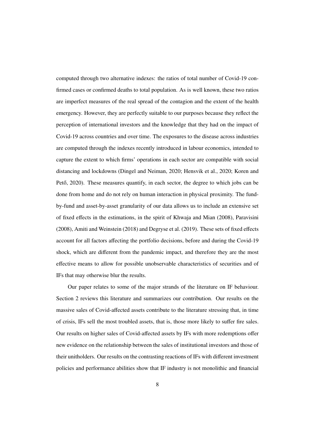computed through two alternative indexes: the ratios of total number of Covid-19 confirmed cases or confirmed deaths to total population. As is well known, these two ratios are imperfect measures of the real spread of the contagion and the extent of the health emergency. However, they are perfectly suitable to our purposes because they reflect the perception of international investors and the knowledge that they had on the impact of Covid-19 across countries and over time. The exposures to the disease across industries are computed through the indexes recently introduced in labour economics, intended to capture the extent to which firms' operations in each sector are compatible with social distancing and lockdowns [\(Dingel and Neiman, 2020; Hensvik et al., 2020;](#page--1-6) [Koren and](#page--1-7) Pető,  $2020$ ). These measures quantify, in each sector, the degree to which jobs can be done from home and do not rely on human interaction in physical proximity. The fundby-fund and asset-by-asset granularity of our data allows us to include an extensive set of fixed effects in the estimations, in the spirit of [Khwaja and Mian](#page--1-2) [\(2008\)](#page--1-2), [Paravisini](#page--1-8) [\(2008\)](#page--1-8), [Amiti and Weinstein](#page--1-9) [\(2018\)](#page--1-9) and [Degryse et al.](#page--1-10) [\(2019\)](#page--1-10). These sets of fixed effects account for all factors affecting the portfolio decisions, before and during the Covid-19 shock, which are different from the pandemic impact, and therefore they are the most effective means to allow for possible unobservable characteristics of securities and of IFs that may otherwise blur the results.

Our paper relates to some of the major strands of the literature on IF behaviour. Section [2](#page--1-11) reviews this literature and summarizes our contribution. Our results on the massive sales of Covid-affected assets contribute to the literature stressing that, in time of crisis, IFs sell the most troubled assets, that is, those more likely to suffer fire sales. Our results on higher sales of Covid-affected assets by IFs with more redemptions offer new evidence on the relationship between the sales of institutional investors and those of their unitholders. Our results on the contrasting reactions of IFs with different investment policies and performance abilities show that IF industry is not monolithic and financial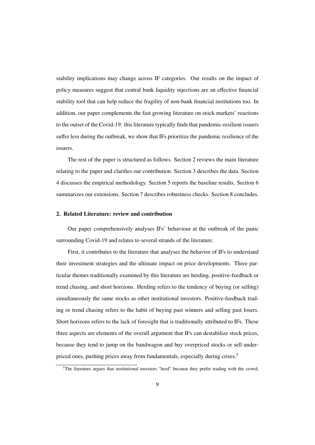stability implications may change across IF categories. Our results on the impact of policy measures suggest that central bank liquidity injections are an effective financial stability tool that can help reduce the fragility of non-bank financial institutions too. In addition, our paper complements the fast growing literature on stock markets' reactions to the outset of the Covid-19: this literature typically finds that pandemic-resilient issuers suffer less during the outbreak, we show that IFs prioritize the pandemic resilience of the issuers.

The rest of the paper is structured as follows. Section [2](#page--1-11) reviews the main literature relating to the paper and clarifies our contribution. Section [3](#page--1-12) describes the data. Section [4](#page--1-13) discusses the empirical methodology. Section [5](#page--1-14) reports the baseline results. Section [6](#page--1-13) summarizes our extensions. Section [7](#page--1-13) describes robustness checks. Section [8](#page--1-15) concludes.

### 2. Related Literature: review and contribution

Our paper comprehensively analyses IFs' behaviour at the outbreak of the panic surrounding Covid-19 and relates to several strands of the literature.

First, it contributes to the literature that analyses the behavior of IFs to understand their investment strategies and the ultimate impact on price developments. Three particular themes traditionally examined by this literature are herding, positive-feedback or trend chasing, and short horizons. Herding refers to the tendency of buying (or selling) simultaneously the same stocks as other institutional investors. Positive-feedback trading or trend chasing refers to the habit of buying past winners and selling past losers. Short horizons refers to the lack of foresight that is traditionally attributed to IFs. These three aspects are elements of the overall argument that IFs can destabilize stock prices, because they tend to jump on the bandwagon and buy overpriced stocks or sell under-priced ones, pushing prices away from fundamentals, especially during crises.<sup>[5](#page--1-0)</sup>

<sup>5</sup>The literature argues that institutional investors "herd" because they prefer trading with the crowd,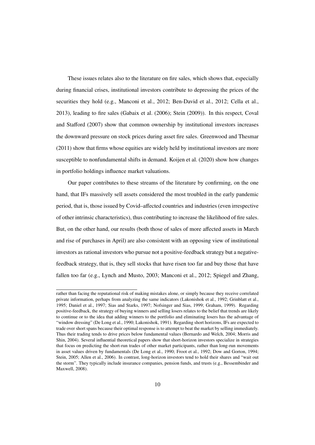These issues relates also to the literature on fire sales, which shows that, especially during financial crises, institutional investors contribute to depressing the prices of the securities they hold (e.g., [Manconi et al., 2012;](#page--1-16) [Ben-David et al., 2012;](#page--1-17) [Cella et al.,](#page--1-18) [2013\)](#page--1-18), leading to fire sales [\(Gabaix et al.](#page--1-7) [\(2006\)](#page--1-7); [Stein](#page--1-19) [\(2009\)](#page--1-19)). In this respect, [Coval](#page--1-2) [and Sta](#page--1-2)fford [\(2007\)](#page--1-2) show that common ownership by institutional investors increases the downward pressure on stock prices during asset fire sales. [Greenwood and Thesmar](#page--1-20) [\(2011\)](#page--1-20) show that firms whose equities are widely held by institutional investors are more susceptible to nonfundamental shifts in demand. [Koijen et al.](#page--1-21) [\(2020\)](#page--1-21) show how changes in portfolio holdings influence market valuations.

Our paper contributes to these streams of the literature by confirming, on the one hand, that IFs massively sell assets considered the most troubled in the early pandemic period, that is, those issued by Covid–affected countries and industries (even irrespective of other intrinsic characteristics), thus contributing to increase the likelihood of fire sales. But, on the other hand, our results (both those of sales of more affected assets in March and rise of purchases in April) are also consistent with an opposing view of institutional investors as rational investors who pursue not a positive-feedback strategy but a negativefeedback strategy, that is, they sell stocks that have risen too far and buy those that have fallen too far (e.g., [Lynch and Musto, 2003;](#page--1-22) [Manconi et al., 2012;](#page--1-16) [Spiegel and Zhang,](#page--1-23)

rather than facing the reputational risk of making mistakes alone, or simply because they receive correlated private information, perhaps from analyzing the same indicators [\(Lakonishok et al., 1992;](#page--1-24) [Grinblatt et al.,](#page--1-25) [1995;](#page--1-25) [Daniel et al., 1997;](#page--1-21) [Sias and Starks, 1997;](#page--1-26) [Nofsinger and Sias, 1999;](#page--1-27) [Graham, 1999\)](#page--1-22). Regarding positive-feedback, the strategy of buying winners and selling losers relates to the belief that trends are likely to continue or to the idea that adding winners to the portfolio and eliminating losers has the advantage of "window dressing" [\(De Long et al., 1990;](#page--1-7) [Lakonishok, 1991\)](#page--1-28). Regarding short horizons, IFs are expected to trade over short spans because their optimal response is to attempt to beat the market by selling immediately. Thus their trading tends to drive prices below fundamental values [\(Bernardo and Welch, 2004;](#page--1-29) [Morris and](#page--1-30) [Shin, 2004\)](#page--1-30). Several influential theoretical papers show that short-horizon investors specialize in strategies that focus on predicting the short-run trades of other market participants, rather than long-run movements in asset values driven by fundamentals [\(De Long et al., 1990;](#page--1-7) [Froot et al., 1992;](#page--1-21) [Dow and Gorton, 1994;](#page--1-19) [Stein, 2005;](#page--1-31) [Allen et al., 2006\)](#page--1-32). In contrast, long-horizon investors tend to hold their shares and "wait out the storm". They typically include insurance companies, pension funds, and trusts (e.g., [Bessembinder and](#page--1-33) [Maxwell, 2008\)](#page--1-33).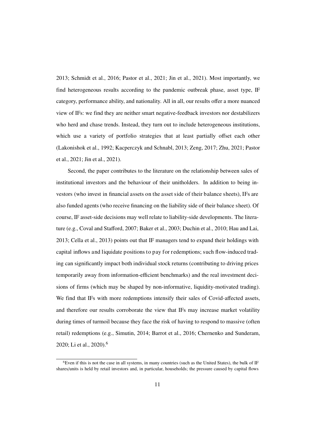[2013;](#page--1-23) [Schmidt](#page--1-10) et al., [2016;](#page--1-10) [Pastor](#page--1-34) et al., [2021;](#page--1-34) Jin et [al.,](#page--1-35) [2021\).](#page--1-35) Most importantly, we find heterogeneous results according to the pandemic outbreak phase, asset type, IF category, performance ability, and nationality. All in all, our results offer a more nuanced view of IFs: we find they are neither smart negative-feedback investors nor destabilizers who herd and chase trends. Instead, they turn out to include heterogeneous institutions, which use a variety of portfolio strategies that at least partially offset each other [\(Lakonishok](#page--1-24) et al., [1992;](#page--1-24) [Kacperczyk](#page--1-27) and Schnabl, [2013;](#page--1-27) [Zeng,](#page--1-35) [2017;](#page--1-35) [Zhu,](#page--1-27) [2021;](#page--1-27) Pastor et al., [2021;](#page--1-34) Jin et [al.,](#page--1-35) [2021\).](#page--1-35)

Second, the paper contributes to the literature on the relationship between sales of institutional investors and the behaviour of their unitholders. In addition to being investors (who invest in financial assets on the asset side of their balance sheets), IFs are also funded agents (who receive financing on the liability side of their balance sheet). Of course, IF asset-side decisions may well relate to liability-side developments. The literature (e.g., [Coval](#page--1-2) and Stafford, [2007;](#page--1-2) [Baker](#page--1-36) et al., [2003;](#page--1-36) [Duchin](#page--1-20) et al., [2010;](#page--1-20) [Hau](#page--1-24) and Lai, [2013;](#page--1-24) [Cella](#page--1-18) et al., [2013\)](#page--1-18) points out that IF managers tend to expand their holdings with capital inflows and liquidate positions to pay for redemptions; such flow-induced trading can significantly impact both individual stock returns (contributing to driving prices temporarily away from information-efficient benchmarks) and the real investment decisions of firms (which may be shaped by non-informative, liquidity-motivated trading). We find that IFs with more redemptions intensify their sales of Covid-affected assets, and therefore our results corroborate the view that IFs may increase market volatility during times of turmoil because they face the risk of having to respond to massive (often retail) redemptions (e.g., [Simutin,](#page--1-37) [2014;](#page--1-37) [Barrot](#page--1-38) et al., [2016;](#page--1-38) [Chernenko](#page--1-8) and Sunderam, [2020;](#page--1-8) Li et [al.,](#page--1-37) [2020\)](#page--1-37).[6](#page--1-0)

<sup>&</sup>lt;sup>6</sup>Even if this is not the case in all systems, in many countries (such as the United States), the bulk of IF shares/units is held by retail investors and, in particular, households; the pressure caused by capital flows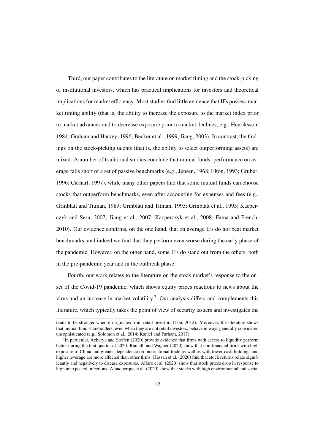Third, our paper contributes to the literature on market timing and the stock-picking of institutional investors, which has practical implications for investors and theoretical implications for market efficiency. Most studies find little evidence that IFs possess market timing ability (that is, the ability to increase the exposure to the market index prior to market advances and to decrease exposure prior to market declines; e.g., [Henriksson,](#page--1-39) [1984;](#page--1-39) [Graham and Harvey, 1996;](#page--1-16) [Becker et al., 1999;](#page--1-40) [Jiang, 2003\)](#page--1-20). In contrast, the findings on the stock-picking talents (that is, the ability to select outperforming assets) are mixed. A number of traditional studies conclude that mutual funds' performance on average falls short of a set of passive benchmarks (e.g., [Jensen, 1968;](#page--1-22) [Elton, 1993;](#page--1-25) [Gruber,](#page--1-41) [1996;](#page--1-41) [Carhart, 1997\)](#page--1-42), while many other papers find that some mutual funds can choose stocks that outperform benchmarks, even after accounting for expenses and fees (e.g., [Grinblatt and Titman, 1989;](#page--1-30) [Grinblatt and Titman, 1993;](#page--1-42) [Grinblatt et al., 1995;](#page--1-25) [Kacper](#page--1-18)[czyk and Seru, 2007;](#page--1-18) [Jiang et al., 2007;](#page--1-16) [Kacperczyk et al., 2008;](#page--1-1) [Fama and French,](#page--1-34) [2010\)](#page--1-34). Our evidence confirms, on the one hand, that on average IFs do not beat market benchmarks, and indeed we find that they perform even worse during the early phase of the pandemic. However, on the other hand, some IFs do stand out from the others, both in the pre-pandemic year and in the outbreak phase.

Fourth, our work relates to the literature on the stock market's response to the onset of the Covid-19 pandemic, which shows equity prices reactions to news about the virus and an increase in market volatility.<sup>[7](#page--1-0)</sup> Our analysis differs and complements this literature, which typically takes the point of view of security issuers and investigates the

tends to be stronger when it originates from retail investors [\(Lou, 2012\)](#page--1-3). Moreover, the literature shows that mutual fund shareholders, even when they are not retail investors, behave in ways generally considered unsophisticated (e.g., [Solomon et al., 2014;](#page--1-6) [Kaniel and Parham, 2017\)](#page--1-34).

<sup>&</sup>lt;sup>7</sup>In particular, [Acharya and Ste](#page--1-43)ffen [\(2020\)](#page--1-43) provide evidence that firms with access to liquidity perform better during the first quarter of 2020. [Ramelli and Wagner](#page--1-7) [\(2020\)](#page--1-7) show that non-financial firms with high exposure to China and greater dependence on international trade as well as with lower cash holdings and higher leverage are more affected than other firms. [Hassan et al.](#page--1-7) [\(2020\)](#page--1-7) find that stock returns relate significantly and negatively to disease exposures. [Alfaro et al.](#page--1-44) [\(2020\)](#page--1-44) show that stock prices drop in response to high unexpected infections. [Albuquerque et al.](#page--1-45) [\(2020\)](#page--1-45) show that stocks with high environmental and social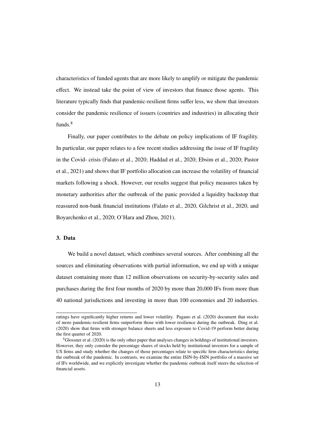characteristics of funded agents that are more likely to amplify or mitigate the pandemic effect. We instead take the point of view of investors that finance those agents. This literature typically finds that pandemic-resilient firms suffer less, we show that investors consider the pandemic resilience of issuers (countries and industries) in allocating their funds.[8](#page--1-0)

Finally, our paper contributes to the debate on policy implications of IF fragility. In particular, our paper relates to a few recent studies addressing the issue of IF fragility in the Covid- crisis [\(Falato et al., 2020;](#page--1-41) [Haddad et al., 2020;](#page--1-46) [Ebsim et al., 2020;](#page--1-30) [Pastor](#page--1-34) [et al., 2021\)](#page--1-34) and shows that IF portfolio allocation can increase the volatility of financial markets following a shock. However, our results suggest that policy measures taken by monetary authorities after the outbreak of the panic provided a liquidity backstop that reassured non-bank financial institutions [\(Falato et al., 2020,](#page--1-41) [Gilchrist et al., 2020,](#page--1-10) and [Boyarchenko et al., 2020;](#page--1-30) [O'Hara and Zhou, 2021\)](#page--1-18).

# 3. Data

We build a novel dataset, which combines several sources. After combining all the sources and eliminating observations with partial information, we end up with a unique dataset containing more than 12 million observations on security-by-security sales and purchases during the first four months of 2020 by more than 20,000 IFs from more than 40 national jurisdictions and investing in more than 100 economies and 20 industries.

ratings have significantly higher returns and lower volatility. [Pagano et al.](#page--1-1) [\(2020\)](#page--1-1) document that stocks of more pandemic-resilient firms outperform those with lower resilience during the outbreak. [Ding et al.](#page--1-39) [\(2020\)](#page--1-39) show that firms with stronger balance sheets and less exposure to Covid-19 perform better during the first quarter of 2020.

<sup>8</sup>[Glossner et al.](#page--1-37) [\(2020\)](#page--1-37) is the only other paper that analyses changes in holdings of institutional investors. However, they only consider the percentage shares of stocks held by institutional investors for a sample of US firms and study whether the changes of those percentages relate to specific firm characteristics during the outbreak of the pandemic. In contrasts, we examine the entire ISIN-by-ISIN portfolio of a massive set of IFs worldwide, and we explicitly investigate whether the pandemic outbreak itself steers the selection of financial assets.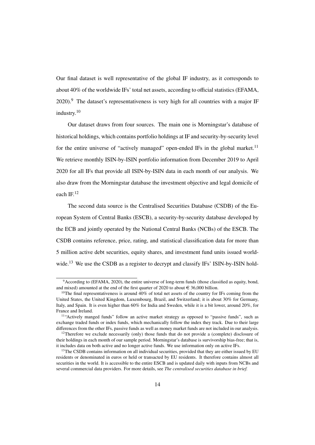Our final dataset is well representative of the global IF industry, as it corresponds to about 40% of the worldwide IFs' total net assets, according to official statistics [\(EFAMA,](#page--1-42)  $2020$ .<sup>[9](#page--1-0)</sup> The dataset's representativeness is very high for all countries with a major IF industry.[10](#page--1-0)

Our dataset draws from four sources. The main one is Morningstar's database of historical holdings, which contains portfolio holdings at IF and security-by-security level for the entire universe of "actively managed" open-ended IFs in the global market.<sup>[11](#page--1-0)</sup> We retrieve monthly ISIN-by-ISIN portfolio information from December 2019 to April 2020 for all IFs that provide all ISIN-by-ISIN data in each month of our analysis. We also draw from the Morningstar database the investment objective and legal domicile of each IF.[12](#page--1-0)

The second data source is the Centralised Securities Database (CSDB) of the European System of Central Banks (ESCB), a security-by-security database developed by the ECB and jointly operated by the National Central Banks (NCBs) of the ESCB. The CSDB contains reference, price, rating, and statistical classification data for more than 5 million active debt securities, equity shares, and investment fund units issued worldwide.[13](#page--1-0) We use the CSDB as a register to decrypt and classify IFs' ISIN-by-ISIN hold-

<sup>9</sup>According to [\(EFAMA, 2020\)](#page--1-42), the entire universe of long-term funds (those classified as equity, bond, and mixed) amounted at the end of the first quarter of 2020 to about  $\in$  36,000 billion.

<sup>&</sup>lt;sup>10</sup>The final representativeness is around 40% of total net assets of the country for IFs coming from the United States, the United Kingdom, Luxembourg, Brazil, and Switzerland; it is about 30% for Germany, Italy, and Spain. It is even higher than 60% for India and Sweden, while it is a bit lower, around 20%, for France and Ireland.

<sup>&</sup>lt;sup>11</sup>"Actively manged funds" follow an active market strategy as opposed to "passive funds", such as exchange traded funds or index funds, which mechanically follow the index they track. Due to their large differences from the other IFs, passive funds as well as money market funds are not included in our analysis.

 $12$ Therefore we exclude necessarily (only) those funds that do not provide a (complete) disclosure of their holdings in each month of our sample period. Morningstar's database is survivorship bias-free; that is, it includes data on both active and no longer active funds. We use information only on active IFs.

<sup>&</sup>lt;sup>13</sup>The CSDB contains information on all individual securities, provided that they are either issued by EU residents or denominated in euros or held or transacted by EU residents. It therefore contains almost all securities in the world. It is accessible to the entire ESCB and is updated daily with inputs from NCBs and several commercial data providers. For more details, see *[The centralised securities database in brief.](https://www.ecb.europa.eu/pub/pdf/other/centralisedsecuritiesdatabase201002en.pdf)*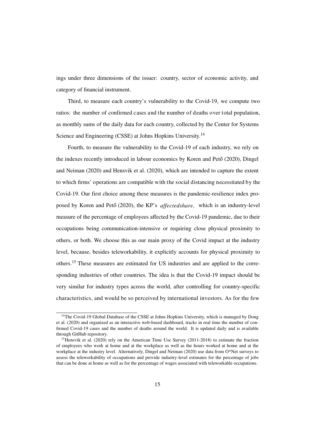ings under three dimensions of the issuer: country, sector of economic activity, and category of financial instrument.

Third, to measure each country's vulnerability to the Covid-19, we compute two ratios: the number of confirmed cases and the number of deaths over total population, as monthly sums of the daily data for each country, collected by the Center for Systems Science and Engineering (CSSE) at Johns Hopkins University.<sup>[14](#page--1-0)</sup>

Fourth, to measure the vulnerability to the Covid-19 of each industry, we rely on the indexes recently introduced in labour economics by [Koren](#page--1-7) and Pető [\(2020\)](#page--1-7), [Dingel](#page--1-6) and [Neiman](#page--1-6) [\(2020\)](#page--1-6) and [Hensvik](#page--1-6) et al. [\(2020\),](#page--1-6) which are intended to capture the extent to which firms' operations are compatible with the social distancing necessitated by the Covid-19. Our first choice among these measures is the pandemic-resilience index pro-posed by [Koren](#page--1-7) and Pető [\(2020\),](#page--1-7) the KP's *affectedshare*, which is an industry-level measure of the percentage of employees affected by the Covid-19 pandemic, due to their occupations being communication-intensive or requiring close physical proximity to others, or both. We choose this as our main proxy of the Covid impact at the industry level, because, besides teleworkability, it explicitly accounts for physical proximity to others.[15](#page--1-0) These measures are estimated for US industries and are applied to the corresponding industries of other countries. The idea is that the Covid-19 impact should be very similar for industry types across the world, after controlling for country-specific characteristics, and would be so perceived by international investors. As for the few

<sup>&</sup>lt;sup>14</sup>The Covid-19 Global Database of the CSSE at Johns Hopkins University, which is managed by [Dong](#page--1-23) [et al.](#page--1-23) [\(2020\)](#page--1-23) and organized as an interactive web-based dashboard, tracks in real time the number of confirmed Covid-19 cases and the number of deaths around the world. It is updated daily and is available through [GitHub](https://github.com/CSSEGISandData/COVID-19) repository.

<sup>&</sup>lt;sup>15</sup>[Hensvik et al.](#page--1-6) [\(2020\)](#page--1-6) rely on the American Time Use Survey (2011-2018) to estimate the fraction of employees who work at home and at the workplace as well as the hours worked at home and at the workplace at the industry level. Alternatively, [Dingel and Neiman](#page--1-6) [\(2020\)](#page--1-6) use data from O\*Net surveys to assess the teleworkability of occupations and provide industry-level estimates for the percentage of jobs that can be done at home as well as for the percentage of wages associated with teleworkable occupations.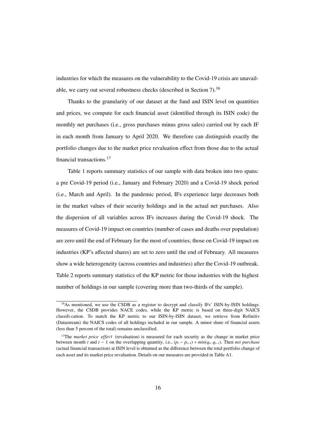industries for which the measures on the vulnerability to the Covid-19 crisis are unavailable, we carry out several robustness checks (described in Section [7\)](#page--1-13).[16](#page--1-0)

Thanks to the granularity of our dataset at the fund and ISIN level on quantities and prices, we compute for each financial asset (identified through its ISIN code) the monthly net purchases (i.e., gross purchases minus gross sales) carried out by each IF in each month from January to April 2020. We therefore can distinguish exactly the portfolio changes due to the market price revaluation effect from those due to the actual financial transactions.[17](#page--1-0)

Table [1](#page--1-47) reports summary statistics of our sample with data broken into two spans: a pre Covid-19 period (i.e., January and February 2020) and a Covid-19 shock period (i.e., March and April). In the pandemic period, IFs experience large decreases both in the market values of their security holdings and in the actual net purchases. Also the dispersion of all variables across IFs increases during the Covid-19 shock. The measures of Covid-19 impact on countries (number of cases and deaths over population) are zero until the end of February for the most of countries; those on Covid-19 impact on industries (KP's affected shares) are set to zero until the end of February. All measures show a wide heterogeneity (across countries and industries) after the Covid-19 outbreak. Table [2](#page--1-48) reports summary statistics of the KP metric for those industries with the highest number of holdings in our sample (covering more than two-thirds of the sample).

<sup>&</sup>lt;sup>16</sup>As mentioned, we use the CSDB as a register to decrypt and classify IFs' ISIN-by-ISIN holdings. However, the CSDB provides NACE codes, while the KP metric is based on three-digit NAICS classifi-cation. To match the KP metric to our ISIN-by-ISIN dataset, we retrieve from Refinitiv (Datastream) the NAICS codes of all holdings included in our sample. A minor share of financial assets (less than 5 percent of the total) remains unclassified.

<sup>&</sup>lt;sup>17</sup>The *market price effect* (revaluation) is measured for each security as the change in market price between month *t* and *t* − 1 on the overlapping quantity, i.e.,  $(p_t - p_{t-1}) * min(q_t, q_{t-1})$ . Then *net purchase*<br>(cotual financial transaction) at ISIN lavel is obtained as the difference between the total portfolio change (actual financial transaction) at ISIN level is obtained as the difference between the total portfolio change of each asset and its market price revaluation. Details on our measures are provided in Table [A1.](#page--1-49)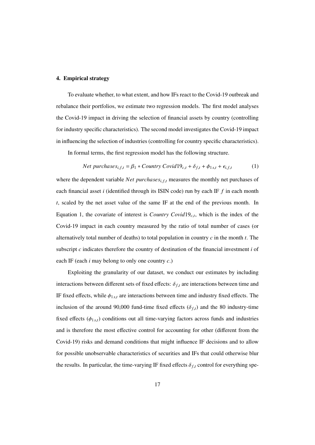### 4. Empirical strategy

To evaluate whether, to what extent, and how IFs react to the Covid-19 outbreak and rebalance their portfolios, we estimate two regression models. The first model analyses the Covid-19 impact in driving the selection of financial assets by country (controlling for industry specific characteristics). The second model investigates the Covid-19 impact in influencing the selection of industries (controlling for country specific characteristics).

In formal terms, the first regression model has the following structure.

$$
Net\ purchases_{i,f,t} = \beta_1 * Country\ Covid19_{c,t} + \delta_{f,t} + \phi_{1s,t} + \epsilon_{i,f,t}
$$
 (1)

where the dependent variable *Net purchases*<sub>*i*, *f*,*t*</sub> measures the monthly net purchases of each financial asset *i* (identified through its ISIN code) run by each IF *f* in each month *t*, scaled by the net asset value of the same IF at the end of the previous month. In Equation [1,](#page--1-50) the covariate of interest is *Country Covid*  $19<sub>c,t</sub>$ , which is the index of the Covid-19 impact in each country measured by the ratio of total number of cases (or alternatively total number of deaths) to total population in country *c* in the month *t*. The subscript *c* indicates therefore the country of destination of the financial investment *i* of each IF (each *i* may belong to only one country *c*.)

Exploiting the granularity of our dataset, we conduct our estimates by including interactions between different sets of fixed effects:  $\delta_{f,t}$  are interactions between time and IF fixed effects, while  $\phi_{1s,t}$  are interactions between time and industry fixed effects. The inclusion of the around 90,000 fund-time fixed effects  $(\delta_{f,t})$  and the 80 industry-time fixed effects  $(\phi_{1s,t})$  conditions out all time-varying factors across funds and industries and is therefore the most effective control for accounting for other (different from the Covid-19) risks and demand conditions that might influence IF decisions and to allow for possible unobservable characteristics of securities and IFs that could otherwise blur the results. In particular, the time-varying IF fixed effects  $\delta_{f,t}$  control for everything spe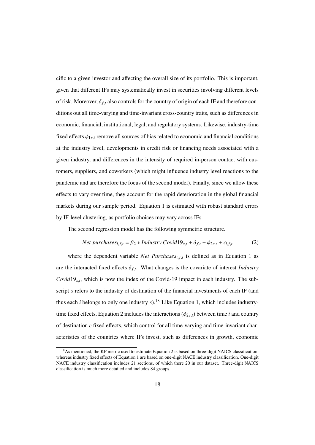cific to a given investor and affecting the overall size of its portfolio. This is important, given that different IFs may systematically invest in securities involving different levels of risk. Moreover,  $\delta_{f,t}$  also controls for the country of origin of each IF and therefore conditions out all time-varying and time-invariant cross-country traits, such as differences in economic, financial, institutional, legal, and regulatory systems. Likewise, industry-time fixed effects  $\phi_{1st}$  remove all sources of bias related to economic and financial conditions at the industry level, developments in credit risk or financing needs associated with a given industry, and differences in the intensity of required in-person contact with customers, suppliers, and coworkers (which might influence industry level reactions to the pandemic and are therefore the focus of the second model). Finally, since we allow these effects to vary over time, they account for the rapid deterioration in the global financial markets during our sample period. Equation [1](#page--1-50) is estimated with robust standard errors by IF-level clustering, as portfolio choices may vary across IFs.

The second regression model has the following symmetric structure.

$$
Net\ purchases_{i,f,t} = \beta_2 * Industry\ Covid19_{s,t} + \delta_{f,t} + \phi_{2c,t} + \epsilon_{i,f,t}
$$
 (2)

where the dependent variable *Net Purchases*<sub>*i*, *f*,*t*</sub> is defined as in Equation [1](#page--1-50) as are the interacted fixed effects  $\delta_{f,t}$ . What changes is the covariate of interest *Industry Covid*19*s*,*<sup>t</sup>* , which is now the index of the Covid-19 impact in each industry. The subscript *s* refers to the industry of destination of the financial investments of each IF (and thus each *i* belongs to only one industry  $s$ ).<sup>[18](#page--1-0)</sup> Like Equation [1,](#page--1-50) which includes industry-time fixed effects, Equation [2](#page--1-51) includes the interactions  $(\phi_{2c,t})$  between time *t* and country of destination *c* fixed effects, which control for all time-varying and time-invariant characteristics of the countries where IFs invest, such as differences in growth, economic

<sup>&</sup>lt;sup>18</sup>As mentioned, the KP metric used to estimate Equation [2](#page--1-51) is based on three-digit NAICS classification, whereas industry fixed effects of Equation [1](#page--1-50) are based on one-digit NACE industry classification. One-digit NACE industry classification includes 21 sections, of which there 20 in our dataset. Three-digit NAICS classification is much more detailed and includes 84 groups.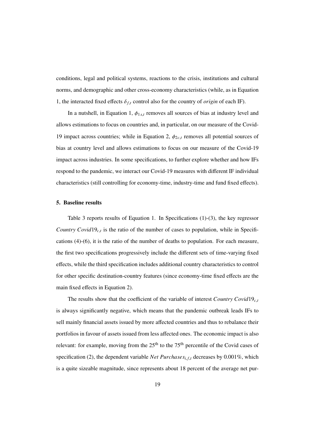conditions, legal and political systems, reactions to the crisis, institutions and cultural norms, and demographic and other cross-economy characteristics (while, as in Equation [1,](#page--1-50) the interacted fixed effects  $\delta_{f,t}$  control also for the country of *origin* of each IF).

In a nutshell, in Equation [1,](#page--1-50)  $\phi_{1s,t}$  removes all sources of bias at industry level and allows estimations to focus on countries and, in particular, on our measure of the Covid-19 impact across countries; while in Equation [2,](#page--1-51)  $\phi_{2c,t}$  removes all potential sources of bias at country level and allows estimations to focus on our measure of the Covid-19 impact across industries. In some specifications, to further explore whether and how IFs respond to the pandemic, we interact our Covid-19 measures with different IF individual characteristics (still controlling for economy-time, industry-time and fund fixed effects).

### 5. Baseline results

Table [3](#page--1-47) reports results of Equation [1.](#page--1-50) In Specifications (1)-(3), the key regressor *Country Covid*19*c*,*<sup>t</sup>* is the ratio of the number of cases to population, while in Specifications (4)-(6), it is the ratio of the number of deaths to population. For each measure, the first two specifications progressively include the different sets of time-varying fixed effects, while the third specification includes additional country characteristics to control for other specific destination-country features (since economy-time fixed effects are the main fixed effects in Equation [2\)](#page--1-51).

The results show that the coefficient of the variable of interest *Country Covid*19*c*,*<sup>t</sup>* is always significantly negative, which means that the pandemic outbreak leads IFs to sell mainly financial assets issued by more affected countries and thus to rebalance their portfolios in favour of assets issued from less affected ones. The economic impact is also relevant: for example, moving from the  $25<sup>th</sup>$  to the 75<sup>th</sup> percentile of the Covid cases of specification (2), the dependent variable *Net Purchases*<sub>*i.f.t*</sub> decreases by 0.001%, which is a quite sizeable magnitude, since represents about 18 percent of the average net pur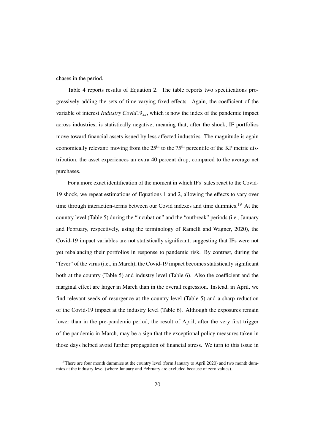chases in the period.

Table [4](#page--1-52) reports results of Equation [2.](#page--1-51) The table reports two specifications progressively adding the sets of time-varying fixed effects. Again, the coefficient of the variable of interest *Industry Covid*19*s*,*<sup>t</sup>* , which is now the index of the pandemic impact across industries, is statistically negative, meaning that, after the shock, IF portfolios move toward financial assets issued by less affected industries. The magnitude is again economically relevant: moving from the  $25<sup>th</sup>$  to the  $75<sup>th</sup>$  percentile of the KP metric distribution, the asset experiences an extra 40 percent drop, compared to the average net purchases.

For a more exact identification of the moment in which IFs' sales react to the Covid-19 shock, we repeat estimations of Equations [1](#page--1-50) and [2,](#page--1-51) allowing the effects to vary over time through interaction-terms between our Covid indexes and time dummies.<sup>[19](#page--1-0)</sup> At the country level (Table [5\)](#page--1-53) during the "incubation" and the "outbreak" periods (i.e., January and February, respectively, using the terminology of [Ramelli and Wagner, 2020\)](#page--1-7), the Covid-19 impact variables are not statistically significant, suggesting that IFs were not yet rebalancing their portfolios in response to pandemic risk. By contrast, during the "fever" of the virus (i.e., in March), the Covid-19 impact becomes statistically significant both at the country (Table [5\)](#page--1-53) and industry level (Table [6\)](#page--1-54). Also the coefficient and the marginal effect are larger in March than in the overall regression. Instead, in April, we find relevant seeds of resurgence at the country level (Table [5\)](#page--1-53) and a sharp reduction of the Covid-19 impact at the industry level (Table [6\)](#page--1-54). Although the exposures remain lower than in the pre-pandemic period, the result of April, after the very first trigger of the pandemic in March, may be a sign that the exceptional policy measures taken in those days helped avoid further propagation of financial stress. We turn to this issue in

<sup>&</sup>lt;sup>19</sup>There are four month dummies at the country level (form January to April 2020) and two month dummies at the industry level (where January and February are excluded because of zero values).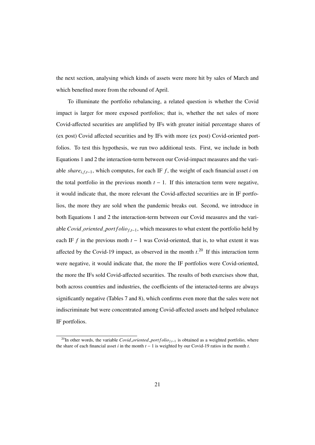the next section, analysing which kinds of assets were more hit by sales of March and which benefited more from the rebound of April.

To illuminate the portfolio rebalancing, a related question is whether the Covid impact is larger for more exposed portfolios; that is, whether the net sales of more Covid-affected securities are amplified by IFs with greater initial percentage shares of (ex post) Covid affected securities and by IFs with more (ex post) Covid-oriented portfolios. To test this hypothesis, we run two additional tests. First, we include in both Equations [1](#page--1-50) and [2](#page--1-51) the interaction-term between our Covid-impact measures and the variable *share*<sub>*i*, *f*,*t*-1</sub>, which computes, for each IF *f*, the weight of each financial asset *i* on the total portfolio in the previous month  $t - 1$ . If this interaction term were negative, it would indicate that, the more relevant the Covid-affected securities are in IF portfolios, the more they are sold when the pandemic breaks out. Second, we introduce in both Equations [1](#page--1-50) and [2](#page--1-51) the interaction-term between our Covid measures and the variable *Covid\_oriented\_port*  $f \circ \text{div}_{f,t-1}$ , which measures to what extent the portfolio held by each IF *f* in the previous moth  $t - 1$  was Covid-oriented, that is, to what extent it was affected by the Covid-19 impact, as observed in the month  $t$ <sup>[20](#page--1-0)</sup>. If this interaction term were negative, it would indicate that, the more the IF portfolios were Covid-oriented, the more the IFs sold Covid-affected securities. The results of both exercises show that, both across countries and industries, the coefficients of the interacted-terms are always significantly negative (Tables [7](#page--1-55) and [8\),](#page--1-56) which confirms even more that the sales were not indiscriminate but were concentrated among Covid-affected assets and helped rebalance IF portfolios.

<sup>&</sup>lt;sup>20</sup>In other words, the variable *Covid\_oriented\_port f olio*<sub>*f*, $t-1$ </sub> is obtained as a weighted portfolio, where the share of each financial asset *i* in the month *t* − 1 is weighted by our Covid-19 ratios in the month *t*.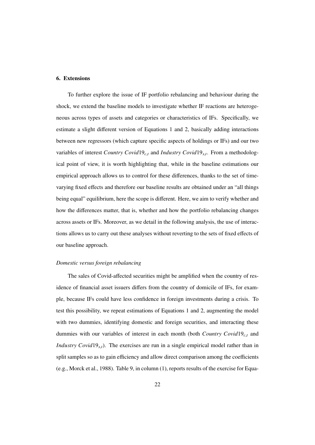# 6. Extensions

To further explore the issue of IF portfolio rebalancing and behaviour during the shock, we extend the baseline models to investigate whether IF reactions are heterogeneous across types of assets and categories or characteristics of IFs. Specifically, we estimate a slight different version of Equations [1](#page--1-50) and [2,](#page--1-51) basically adding interactions between new regressors (which capture specific aspects of holdings or IFs) and our two variables of interest *Country Covid*19*c*,*<sup>t</sup>* and *Industry Covid*19*s*,*<sup>t</sup>* . From a methodological point of view, it is worth highlighting that, while in the baseline estimations our empirical approach allows us to control for these differences, thanks to the set of timevarying fixed effects and therefore our baseline results are obtained under an "all things being equal" equilibrium, here the scope is different. Here, we aim to verify whether and how the differences matter, that is, whether and how the portfolio rebalancing changes across assets or IFs. Moreover, as we detail in the following analysis, the use of interactions allows us to carry out these analyses without reverting to the sets of fixed effects of our baseline approach.

#### *Domestic versus foreign rebalancing*

The sales of Covid-affected securities might be amplified when the country of residence of financial asset issuers differs from the country of domicile of IFs, for example, because IFs could have less confidence in foreign investments during a crisis. To test this possibility, we repeat estimations of Equations [1](#page--1-50) and [2,](#page--1-51) augmenting the model with two dummies, identifying domestic and foreign securities, and interacting these dummies with our variables of interest in each month (both *Country Covid*19*c*,*<sup>t</sup>* and *Industry Covid*19<sub>*s*,*t*</sub>). The exercises are run in a single empirical model rather than in split samples so as to gain efficiency and allow direct comparison among the coefficients (e.g., [Morck et al., 1988\)](#page--1-20). Table [9,](#page--1-47) in column (1), reports results of the exercise for Equa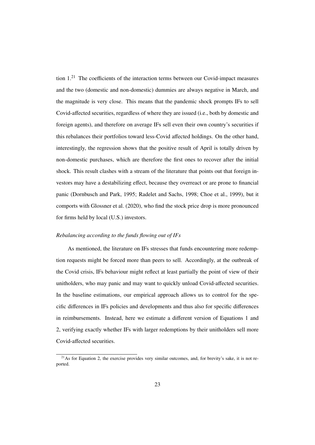tion [1.](#page--1-50)[21](#page--1-0) The coefficients of the interaction terms between our Covid-impact measures and the two (domestic and non-domestic) dummies are always negative in March, and the magnitude is very close. This means that the pandemic shock prompts IFs to sell Covid-affected securities, regardless of where they are issued (i.e., both by domestic and foreign agents), and therefore on average IFs sell even their own country's securities if this rebalances their portfolios toward less-Covid affected holdings. On the other hand, interestingly, the regression shows that the positive result of April is totally driven by non-domestic purchases, which are therefore the first ones to recover after the initial shock. This result clashes with a stream of the literature that points out that foreign investors may have a destabilizing effect, because they overreact or are prone to financial panic [\(Dornbusch and Park, 1995;](#page--1-31) [Radelet and Sachs, 1998;](#page--1-21) [Choe et al., 1999\)](#page--1-34), but it comports with [Glossner et al.](#page--1-37) [\(2020\)](#page--1-37), who find the stock price drop is more pronounced for firms held by local (U.S.) investors.

### *Rebalancing according to the funds flowing out of IFs*

As mentioned, the literature on IFs stresses that funds encountering more redemption requests might be forced more than peers to sell. Accordingly, at the outbreak of the Covid crisis, IFs behaviour might reflect at least partially the point of view of their unitholders, who may panic and may want to quickly unload Covid-affected securities. In the baseline estimations, our empirical approach allows us to control for the specific differences in IFs policies and developments and thus also for specific differences in reimbursements. Instead, here we estimate a different version of Equations [1](#page--1-50) and [2,](#page--1-51) verifying exactly whether IFs with larger redemptions by their unitholders sell more Covid-affected securities.

 $^{21}$ As for Equation [2,](#page--1-51) the exercise provides very similar outcomes, and, for brevity's sake, it is not reported.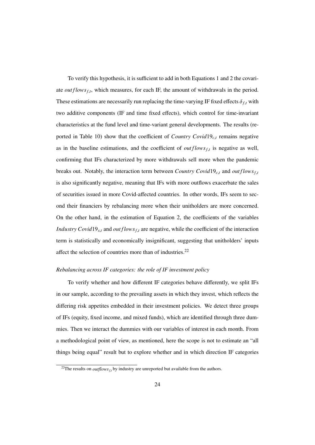To verify this hypothesis, it is sufficient to add in both Equations [1](#page--1-50) and [2](#page--1-51) the covariate *out f lows*  $f$ , which measures, for each IF, the amount of withdrawals in the period. These estimations are necessarily run replacing the time-varying IF fixed effects  $\delta_{f,t}$  with two additive components (IF and time fixed effects), which control for time-invariant characteristics at the fund level and time-variant general developments. The results (re-ported in Table [10\)](#page--1-47) show that the coefficient of *Country Covid*19 $_{c,t}$  remains negative as in the baseline estimations, and the coefficient of  $outflows_{f,t}$  is negative as well, confirming that IFs characterized by more withdrawals sell more when the pandemic breaks out. Notably, the interaction term between *Country Covid*19<sub>*c*,*t*</sub> and *outflows*<sup>*f*</sup>,*t* is also significantly negative, meaning that IFs with more outflows exacerbate the sales of securities issued in more Covid-affected countries. In other words, IFs seem to second their financiers by rebalancing more when their unitholders are more concerned. On the other hand, in the estimation of Equation [2,](#page--1-51) the coefficients of the variables *Industry Covid*  $19_{s,t}$  and *out flows*  $f_t$  are negative, while the coefficient of the interaction term is statistically and economically insignificant, suggesting that unitholders' inputs affect the selection of countries more than of industries.<sup>[22](#page--1-0)</sup>

#### *Rebalancing across IF categories: the role of IF investment policy*

To verify whether and how different IF categories behave differently, we split IFs in our sample, according to the prevailing assets in which they invest, which reflects the differing risk appetites embedded in their investment policies. We detect three groups of IFs (equity, fixed income, and mixed funds), which are identified through three dummies. Then we interact the dummies with our variables of interest in each month. From a methodological point of view, as mentioned, here the scope is not to estimate an "all things being equal" result but to explore whether and in which direction IF categories

<sup>&</sup>lt;sup>22</sup>The results on *outflows*  $f_t$ , by industry are unreported but available from the authors.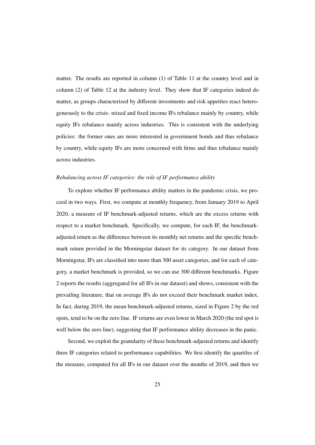matter. The results are reported in column (1) of Table [11](#page--1-47) at the country level and in column (2) of Table [12](#page--1-47) at the industry level. They show that IF categories indeed do matter, as groups characterized by different investments and risk appetites react heterogeneously to the crisis: mixed and fixed income IFs rebalance mainly by country, while equity IFs rebalance mainly across industries. This is consistent with the underlying policies: the former ones are more interested in government bonds and thus rebalance by country, while equity IFs are more concerned with firms and thus rebalance mainly across industries.

## *Rebalancing across IF categories: the role of IF performance ability*

To explore whether IF performance ability matters in the pandemic crisis, we proceed in two ways. First, we compute at monthly frequency, from January 2019 to April 2020, a measure of IF benchmark-adjusted returns, which are the excess returns with respect to a market benchmark. Specifically, we compute, for each IF, the benchmarkadjusted return as the difference between its monthly net returns and the specific benchmark return provided in the Morningstar dataset for its category. In our dataset from Morningstar, IFs are classified into more than 300 asset categories, and for each of category, a market benchmark is provided, so we can use 300 different benchmarks. Figure [2](#page--1-57) reports the results (aggregated for all IFs in our dataset) and shows, consistent with the prevailing literature, that on average IFs do not exceed their benchmark market index. In fact, during 2019, the mean benchmark-adjusted returns, sized in Figure [2](#page--1-57) by the red spots, tend to be on the zero line. IF returns are even lower in March 2020 (the red spot is well below the zero line), suggesting that IF performance ability decreases in the panic.

Second, we exploit the granularity of these benchmark-adjusted returns and identify three IF categories related to performance capabilities. We first identify the quartiles of the measure, computed for all IFs in our dataset over the months of 2019, and then we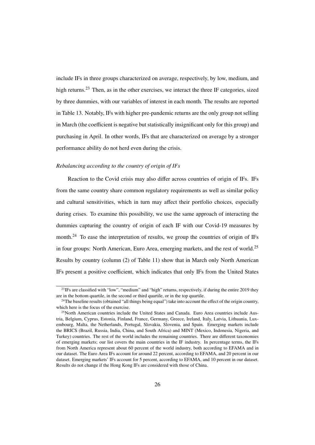include IFs in three groups characterized on average, respectively, by low, medium, and high returns.<sup>[23](#page--1-0)</sup> Then, as in the other exercises, we interact the three IF categories, sized by three dummies, with our variables of interest in each month. The results are reported in Table [13.](#page--1-58) Notably, IFs with higher pre-pandemic returns are the only group not selling in March (the coefficient is negative but statistically insignificant only for this group) and purchasing in April. In other words, IFs that are characterized on average by a stronger performance ability do not herd even during the crisis.

# *Rebalancing according to the country of origin of IFs*

Reaction to the Covid crisis may also differ across countries of origin of IFs. IFs from the same country share common regulatory requirements as well as similar policy and cultural sensitivities, which in turn may affect their portfolio choices, especially during crises. To examine this possibility, we use the same approach of interacting the dummies capturing the country of origin of each IF with our Covid-19 measures by month.<sup>[24](#page--1-0)</sup> To ease the interpretation of results, we group the countries of origin of IFs in four groups: North American, Euro Area, emerging markets, and the rest of world.<sup>[25](#page--1-0)</sup> Results by country (column (2) of Table [11\)](#page--1-47) show that in March only North American IFs present a positive coefficient, which indicates that only IFs from the United States

<sup>&</sup>lt;sup>23</sup>IFs are classified with "low", "medium" and "high" returns, respectively, if during the entire 2019 they are in the bottom quartile, in the second or third quartile, or in the top quartile.

<sup>&</sup>lt;sup>24</sup>The baseline results (obtained "all things being equal") take into account the effect of the origin country, which here is the focus of the exercise.

 $25$ North American countries include the United States and Canada. Euro Area countries include Austria, Belgium, Cyprus, Estonia, Finland, France, Germany, Greece, Ireland, Italy, Latvia, Lithuania, Luxembourg, Malta, the Netherlands, Portugal, Slovakia, Slovenia, and Spain. Emerging markets include the BRICS (Brazil, Russia, India, China, and South Africa) and MINT (Mexico, Indonesia, Nigeria, and Turkey) countries. The rest of the world includes the remaining countries. There are different taxonomies of emerging markets; our list covers the main countries in the IF industry. In percentage terms, the IFs from North America represent about 60 percent of the world industry, both according to EFAMA and in our dataset. The Euro Area IFs account for around 22 percent, according to EFAMA, and 20 percent in our dataset. Emerging markets' IFs account for 5 percent, according to EFAMA, and 10 percent in our dataset. Results do not change if the Hong Kong IFs are considered with those of China.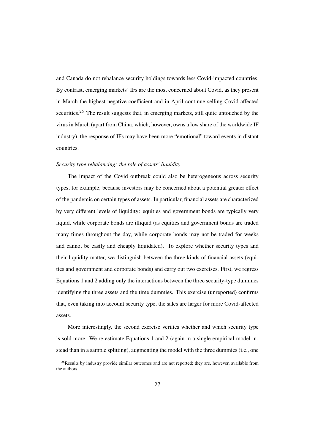and Canada do not rebalance security holdings towards less Covid-impacted countries. By contrast, emerging markets' IFs are the most concerned about Covid, as they present in March the highest negative coefficient and in April continue selling Covid-affected securities.<sup>[26](#page--1-0)</sup> The result suggests that, in emerging markets, still quite untouched by the virus in March (apart from China, which, however, owns a low share of the worldwide IF industry), the response of IFs may have been more "emotional" toward events in distant countries.

### *Security type rebalancing: the role of assets' liquidity*

The impact of the Covid outbreak could also be heterogeneous across security types, for example, because investors may be concerned about a potential greater effect of the pandemic on certain types of assets. In particular, financial assets are characterized by very different levels of liquidity: equities and government bonds are typically very liquid, while corporate bonds are illiquid (as equities and government bonds are traded many times throughout the day, while corporate bonds may not be traded for weeks and cannot be easily and cheaply liquidated). To explore whether security types and their liquidity matter, we distinguish between the three kinds of financial assets (equities and government and corporate bonds) and carry out two exercises. First, we regress Equations [1](#page--1-50) and [2](#page--1-51) adding only the interactions between the three security-type dummies identifying the three assets and the time dummies. This exercise (unreported) confirms that, even taking into account security type, the sales are larger for more Covid-affected assets.

More interestingly, the second exercise verifies whether and which security type is sold more. We re-estimate Equations [1](#page--1-50) and [2](#page--1-51) (again in a single empirical model instead than in a sample splitting), augmenting the model with the three dummies (i.e., one

 $26$ Results by industry provide similar outcomes and are not reported; they are, however, available from the authors.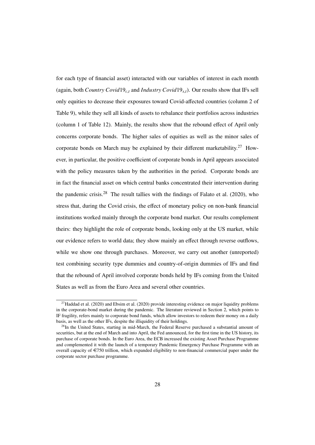for each type of financial asset) interacted with our variables of interest in each month (again, both *Country Covid*19*c*,*<sup>t</sup>* and *Industry Covid*19*s*,*t*). Our results show that IFs sell only equities to decrease their exposures toward Covid-affected countries (column 2 of Table [9\)](#page--1-47), while they sell all kinds of assets to rebalance their portfolios across industries (column 1 of Table [12\)](#page--1-47). Mainly, the results show that the rebound effect of April only concerns corporate bonds. The higher sales of equities as well as the minor sales of corporate bonds on March may be explained by their different marketability.<sup>[27](#page--1-0)</sup> However, in particular, the positive coefficient of corporate bonds in April appears associated with the policy measures taken by the authorities in the period. Corporate bonds are in fact the financial asset on which central banks concentrated their intervention during the pandemic crisis.<sup>[28](#page--1-0)</sup> The result tallies with the findings of [Falato et al.](#page--1-41) [\(2020\)](#page--1-41), who stress that, during the Covid crisis, the effect of monetary policy on non-bank financial institutions worked mainly through the corporate bond market. Our results complement theirs: they highlight the role of corporate bonds, looking only at the US market, while our evidence refers to world data; they show mainly an effect through reverse outflows, while we show one through purchases. Moreover, we carry out another (unreported) test combining security type dummies and country-of-origin dummies of IFs and find that the rebound of April involved corporate bonds held by IFs coming from the United States as well as from the Euro Area and several other countries.

 $27$ [Haddad et al.](#page--1-46) [\(2020\)](#page--1-30) and [Ebsim et al.](#page--1-30) (2020) provide interesting evidence on major liquidity problems in the corporate-bond market during the pandemic. The literature reviewed in Section 2, which points to IF fragility, refers mainly to corporate bond funds, which allow investors to redeem their money on a daily basis, as well as the other IFs, despite the illiquidity of their holdings.

<sup>&</sup>lt;sup>28</sup>In the United States, starting in mid-March, the Federal Reserve purchased a substantial amount of securities, but at the end of March and into April, the Fed announced, for the first time in the US history, its purchase of corporate bonds. In the Euro Area, the ECB increased the existing Asset Purchase Programme and complemented it with the launch of a temporary Pandemic Emergency Purchase Programme with an overall capacity of  $\epsilon$ 750 trillion, which expanded eligibility to non-financial commercial paper under the corporate sector purchase programme.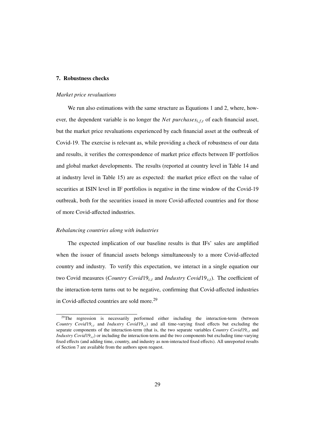#### 7. Robustness checks

#### *Market price revaluations*

We run also estimations with the same structure as Equations [1](#page--1-50) and [2,](#page--1-51) where, however, the dependent variable is no longer the *Net purchases<sub>i,f,t</sub>* of each financial asset, but the market price revaluations experienced by each financial asset at the outbreak of Covid-19. The exercise is relevant as, while providing a check of robustness of our data and results, it verifies the correspondence of market price effects between IF portfolios and global market developments. The results (reported at country level in Table [14](#page--1-59) and at industry level in Table [15\)](#page--1-54) are as expected: the market price effect on the value of securities at ISIN level in IF portfolios is negative in the time window of the Covid-19 outbreak, both for the securities issued in more Covid-affected countries and for those of more Covid-affected industries.

#### *Rebalancing countries along with industries*

The expected implication of our baseline results is that IFs' sales are amplified when the issuer of financial assets belongs simultaneously to a more Covid-affected country and industry. To verify this expectation, we interact in a single equation our two Covid measures (*Country Covid*19*c*,*<sup>t</sup>* and *Industry Covid*19*s*,*t*). The coefficient of the interaction-term turns out to be negative, confirming that Covid-affected industries in Covid-affected countries are sold more.<sup>[29](#page--1-0)</sup>

<sup>&</sup>lt;sup>29</sup>The regression is necessarily performed either including the interaction-term (between *Country Covid*19 $_{c,t}$  and *Industry Covid*19 $_{s,t}$ ) and all time-varying fixed effects but excluding the separate components of the interaction-term (that is, the two separate variables *Country Covid*19*<sup>c</sup>*,*<sup>t</sup>* and *Industry Covid*19*<sup>s</sup>*,*<sup>t</sup>*) or including the interaction-term and the two components but excluding time-varying fixed effects (and adding time, country, and industry as non-interacted fixed effects). All unreported results of Section [7](#page--1-13) are available from the authors upon request.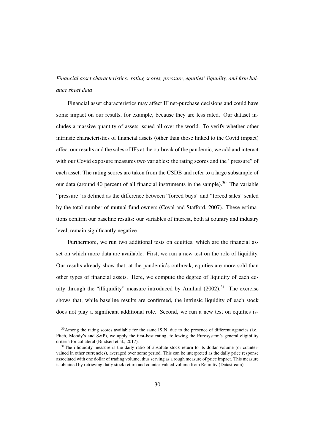# *Financial asset characteristics: rating scores, pressure, equities' liquidity, and firm balance sheet data*

Financial asset characteristics may affect IF net-purchase decisions and could have some impact on our results, for example, because they are less rated. Our dataset includes a massive quantity of assets issued all over the world. To verify whether other intrinsic characteristics of financial assets (other than those linked to the Covid impact) affect our results and the sales of IFs at the outbreak of the pandemic, we add and interact with our Covid exposure measures two variables: the rating scores and the "pressure" of each asset. The rating scores are taken from the CSDB and refer to a large subsample of our data (around 40 percent of all financial instruments in the sample).<sup>[30](#page--1-0)</sup> The variable "pressure" is defined as the difference between "forced buys" and "forced sales" scaled by the total number of mutual fund owners [\(Coval and Sta](#page--1-2)fford, [2007\)](#page--1-2). These estimations confirm our baseline results: our variables of interest, both at country and industry level, remain significantly negative.

Furthermore, we run two additional tests on equities, which are the financial asset on which more data are available. First, we run a new test on the role of liquidity. Our results already show that, at the pandemic's outbreak, equities are more sold than other types of financial assets. Here, we compute the degree of liquidity of each eq-uity through the "illiquidity" measure introduced by [Amihud](#page--1-60)  $(2002)$ .<sup>[31](#page--1-0)</sup> The exercise shows that, while baseline results are confirmed, the intrinsic liquidity of each stock does not play a significant additional role. Second, we run a new test on equities is-

<sup>&</sup>lt;sup>30</sup>Among the rating scores available for the same ISIN, due to the presence of different agencies (i.e., Fitch, Moody's and S&P), we apply the first-best rating, following the Eurosystem's general eligibility criteria for collateral [\(Bindseil et al., 2017\)](#page--1-20).

 $31$ The illiquidity measure is the daily ratio of absolute stock return to its dollar volume (or countervalued in other currencies), averaged over some period. This can be interpreted as the daily price response associated with one dollar of trading volume, thus serving as a rough measure of price impact. This measure is obtained by retrieving daily stock return and counter-valued volume from Refinitiv (Datastream).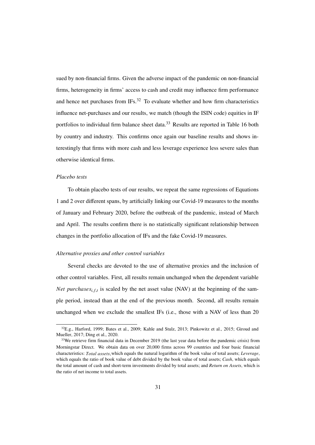sued by non-financial firms. Given the adverse impact of the pandemic on non-financial firms, heterogeneity in firms' access to cash and credit may influence firm performance and hence net purchases from  $IFs<sup>32</sup>$  $IFs<sup>32</sup>$  $IFs<sup>32</sup>$  To evaluate whether and how firm characteristics influence net-purchases and our results, we match (though the ISIN code) equities in IF portfolios to individual firm balance sheet data.<sup>[33](#page--1-0)</sup> Results are reported in Table [16](#page--1-47) both by country and industry. This confirms once again our baseline results and shows interestingly that firms with more cash and less leverage experience less severe sales than otherwise identical firms.

# *Placebo tests*

To obtain placebo tests of our results, we repeat the same regressions of Equations [1](#page--1-50) and [2](#page--1-51) over different spans, by artificially linking our Covid-19 measures to the months of January and February 2020, before the outbreak of the pandemic, instead of March and April. The results confirm there is no statistically significant relationship between changes in the portfolio allocation of IFs and the fake Covid-19 measures.

### *Alternative proxies and other control variables*

Several checks are devoted to the use of alternative proxies and the inclusion of other control variables. First, all results remain unchanged when the dependent variable *Net purchases*<sub>*i*,*f*,*t*</sub> is scaled by the net asset value (NAV) at the beginning of the sample period, instead than at the end of the previous month. Second, all results remain unchanged when we exclude the smallest IFs (i.e., those with a NAV of less than 20

<sup>32</sup>E.g., [Harford,](#page--1-61) [1999;](#page--1-61) [Bates](#page--1-62) et al., [2009;](#page--1-62) [Kahle](#page--1-8) and Stulz, [2013;](#page--1-8) [Pinkowitz](#page--1-2) et al., [2015;](#page--1-2) [Giroud](#page--1-26) and [Mueller,](#page--1-26) [2017;](#page--1-26) [Ding](#page--1-39) et al., [2020.](#page--1-39)

<sup>&</sup>lt;sup>33</sup>We retrieve firm financial data in December 2019 (the last year data before the pandemic crisis) from Morningstar Direct. We obtain data on over 20,000 firms across 99 countries and four basic financial characteristics: Total assets, which equals the natural logarithm of the book value of total assets; Leverage, which equals the ratio of book value of debt divided by the book value of total assets; *Cash*, which equals the total amount of cash and short-term investments divided by total assets; and *Return on Assets*, which is the ratio of net income to total assets.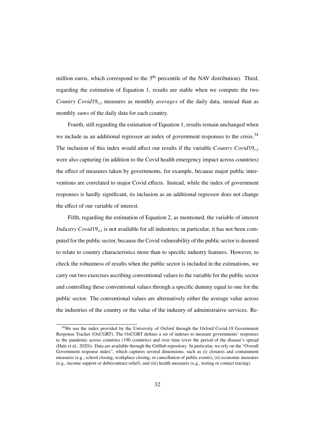million euros, which correspond to the  $5<sup>th</sup>$  percentile of the NAV distribution). Third, regarding the estimation of Equation [1,](#page--1-50) results are stable when we compute the two *Country Covid*19*c*,*<sup>t</sup>* measures as monthly *averages* of the daily data, instead than as monthly *sums* of the daily data for each country.

Fourth, still regarding the estimation of Equation [1,](#page--1-50) results remain unchanged when we include as an additional regressor an index of government responses to the crisis.<sup>[34](#page--1-0)</sup> The inclusion of this index would affect our results if the variable *Country Covid*19*c*,*<sup>t</sup>* were also capturing (in addition to the Covid health emergency impact across countries) the effect of measures taken by governments, for example, because major public interventions are correlated to major Covid effects. Instead, while the index of government responses is hardly significant, its inclusion as an additional regressor does not change the effect of our variable of interest.

Fifth, regarding the estimation of Equation [2,](#page--1-51) as mentioned, the variable of interest *Industry Covid* 19<sub>*s*,*t*</sub> is not available for all industries; in particular, it has not been computed for the public sector, because the Covid vulnerability of the public sector is deemed to relate to country characteristics more than to specific industry features. However, to check the robustness of results when the public sector is included in the estimations, we carry out two exercises ascribing conventional values to the variable for the public sector and controlling these conventional values through a specific dummy equal to one for the public sector. The conventional values are alternatively either the average value across the industries of the country or the value of the industry of administrative services. Re-

<sup>&</sup>lt;sup>34</sup>We use the index provided by the University of Oxford through the Oxford Covid-19 Government Response Tracker (OxCGRT). The OxCGRT defines a set of indexes to measure governments' responses to the pandemic across countries (190 countries) and over time (over the period of the disease's spread [\(Hale et al., 2020\)](#page--1-2)). Data are available through the [GitHub](https://github.com/OxCGRT/Covid-policy-tracker/tree/master/data) repository. In particular, we rely on the "Overall Government response index", which captures several dimensions, such as (i) closures and containment measures (e.g., school closing, workplace closing, or cancellation of public events), (ii) economic measures (e.g., income support or debt/contract relief), and (iii) health measures (e.g., testing or contact tracing).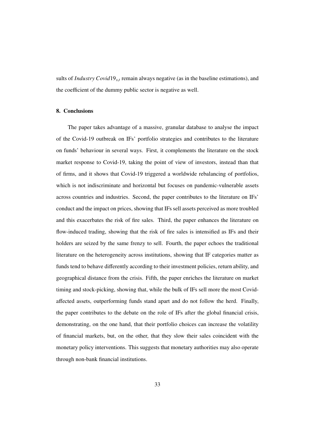sults of *Industry Covid*19*s*,*<sup>t</sup>* remain always negative (as in the baseline estimations), and the coefficient of the dummy public sector is negative as well.

# 8. Conclusions

The paper takes advantage of a massive, granular database to analyse the impact of the Covid-19 outbreak on IFs' portfolio strategies and contributes to the literature on funds' behaviour in several ways. First, it complements the literature on the stock market response to Covid-19, taking the point of view of investors, instead than that of firms, and it shows that Covid-19 triggered a worldwide rebalancing of portfolios, which is not indiscriminate and horizontal but focuses on pandemic-vulnerable assets across countries and industries. Second, the paper contributes to the literature on IFs' conduct and the impact on prices, showing that IFs sell assets perceived as more troubled and this exacerbates the risk of fire sales. Third, the paper enhances the literature on flow-induced trading, showing that the risk of fire sales is intensified as IFs and their holders are seized by the same frenzy to sell. Fourth, the paper echoes the traditional literature on the heterogeneity across institutions, showing that IF categories matter as funds tend to behave differently according to their investment policies, return ability, and geographical distance from the crisis. Fifth, the paper enriches the literature on market timing and stock-picking, showing that, while the bulk of IFs sell more the most Covidaffected assets, outperforming funds stand apart and do not follow the herd. Finally, the paper contributes to the debate on the role of IFs after the global financial crisis, demonstrating, on the one hand, that their portfolio choices can increase the volatility of financial markets, but, on the other, that they slow their sales coincident with the monetary policy interventions. This suggests that monetary authorities may also operate through non-bank financial institutions.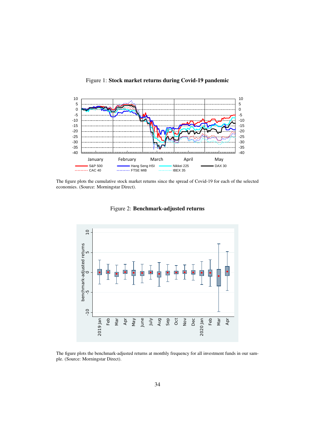

Figure 1: Stock market returns during Covid-19 pandemic

The figure plots the cumulative stock market returns since the spread of Covid-19 for each of the selected economies. (Source: Morningstar Direct).



Figure 2: Benchmark-adjusted returns

The figure plots the benchmark-adjusted returns at monthly frequency for all investment funds in our sample. (Source: Morningstar Direct).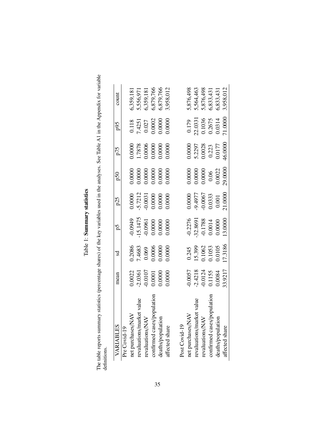Table 1: Summary statistics Table 1: Summary statistics

The table reports summary statistics (percentage shares) of the key variables used in the analyses. See Table [A1](#page--1-49) in the Appendix for variable The table reports summary statistics (percentage shares) of the key variables used in the analyses. See Table A1 in the Appendix for variable definitions.

| шичиз.                     |                                                                                           |                                                                                       |                                                              |                                                                                                  |                                                                               |                                                                                       |                                                                                       |                                                                                        |
|----------------------------|-------------------------------------------------------------------------------------------|---------------------------------------------------------------------------------------|--------------------------------------------------------------|--------------------------------------------------------------------------------------------------|-------------------------------------------------------------------------------|---------------------------------------------------------------------------------------|---------------------------------------------------------------------------------------|----------------------------------------------------------------------------------------|
| VARIABLES                  | mean                                                                                      | Sd                                                                                    | ρ5                                                           | p25                                                                                              | 050                                                                           | p75                                                                                   | p95                                                                                   | count                                                                                  |
| Pre Covid-19               |                                                                                           |                                                                                       |                                                              |                                                                                                  |                                                                               |                                                                                       |                                                                                       |                                                                                        |
| net purchases/NAV          |                                                                                           |                                                                                       |                                                              |                                                                                                  |                                                                               |                                                                                       |                                                                                       |                                                                                        |
| revaluations/market value  |                                                                                           |                                                                                       |                                                              |                                                                                                  |                                                                               |                                                                                       |                                                                                       |                                                                                        |
| revaluations/NAN           | $\begin{array}{c} 0.0022 \\ -2.0361 \\ -0.0107 \\ 0.0001 \\ 0.0000 \\ 0.0000 \end{array}$ | 0.2086<br>7.4683<br>0.069<br>0.0006<br>0.0000                                         | -0.0949<br>15.1475<br>10.0000<br>0.0000<br>0.0000            | $\begin{array}{l} 0.0000 \\ -5.7212 \\ -0.0031 \\ 0.0000 \\ 0.0000 \\ 0.0000 \end{array}$        |                                                                               | 0.0000<br>1.7878<br>0.0006<br>0.0000<br>0.0000                                        | $\begin{array}{l} 0.118 \\ 7.4251 \\ 0.027 \\ 0.0002 \\ 0.0000 \\ 0.0000 \end{array}$ |                                                                                        |
| confirmed cases/popu       |                                                                                           |                                                                                       |                                                              |                                                                                                  |                                                                               |                                                                                       |                                                                                       |                                                                                        |
| deaths/population          |                                                                                           |                                                                                       |                                                              |                                                                                                  |                                                                               |                                                                                       |                                                                                       |                                                                                        |
| affected share             |                                                                                           |                                                                                       |                                                              |                                                                                                  |                                                                               |                                                                                       |                                                                                       | 6,359,181<br>5,556,971<br>6,359,181<br>6,879,766<br>6,879,766<br>3,958,012             |
|                            |                                                                                           |                                                                                       |                                                              |                                                                                                  |                                                                               |                                                                                       |                                                                                       |                                                                                        |
| Post Covid-19              |                                                                                           |                                                                                       |                                                              |                                                                                                  |                                                                               |                                                                                       |                                                                                       |                                                                                        |
| net purchases/NAV          |                                                                                           |                                                                                       |                                                              |                                                                                                  |                                                                               |                                                                                       |                                                                                       |                                                                                        |
| revaluations/market value  |                                                                                           |                                                                                       |                                                              |                                                                                                  |                                                                               |                                                                                       |                                                                                       |                                                                                        |
| revaluations/NAV           | $-0.0057$<br>$-2.4218$<br>$-0.0124$<br>$0.1155$<br>0.0084                                 | $\begin{array}{c} 0.245\ 15.399\ 0.1062\ 0.1053\ 0.0105\ 0.0105\ 0.0105\ \end{array}$ | $-0.2276$<br>$-32.8691$<br>$-0.1788$<br>$0.0014$<br>$0.0000$ | $\begin{array}{l} 0.0000 \\ -9.4977 \\ -0.0067 \\ 0.0333 \\ 0.001 \\ 0.001 \\ 0.001 \end{array}$ | $\begin{array}{c} 0.0000 \\ 0.0000 \\ 0.0000 \\ 0.0000 \\ 0.0022 \end{array}$ | $\begin{array}{c} 0.0000 \\ 5.2297 \\ 0.0028 \\ 0.223 \\ 0.213 \\ 0.0177 \end{array}$ | $\begin{array}{c} 0.179 \\ 22.0331 \\ 0.1036 \\ 0.2675 \\ 0.0314 \end{array}$         |                                                                                        |
| confirmed cases/population |                                                                                           |                                                                                       |                                                              |                                                                                                  |                                                                               |                                                                                       |                                                                                       |                                                                                        |
| deaths/population          |                                                                                           |                                                                                       |                                                              |                                                                                                  |                                                                               |                                                                                       |                                                                                       |                                                                                        |
| affected share             | 33.9217                                                                                   |                                                                                       | 13.0000                                                      |                                                                                                  | 29.0000                                                                       | 46.0000                                                                               | 71.0000                                                                               | 5, 876, 498<br>5, 564, 463<br>5, 876, 498<br>6, 833, 431<br>6, 833, 431<br>3, 958, 012 |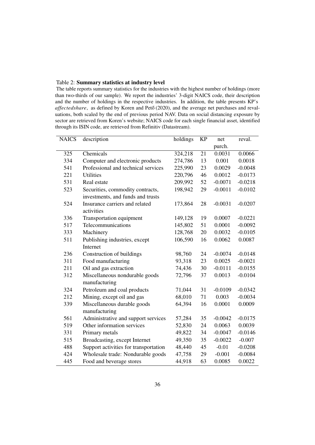# Table 2: Summary statistics at industry level

The table reports summary statistics for the industries with the highest number of holdings (more than two-thirds of our sample). We report the industries' 3-digit NAICS code, their description and the number of holdings in the respective industries. In addition, the table presents KP's affectedshare, as defined by [Koren](#page--1-7) and Pető [\(2020\),](#page--1-7) and the average net purchases and revaluations, both scaled by the end of previous period NAV. Data on social distancing exposure by sector are retrieved from Koren's [website;](http://koren.mk/papers/working_papers/social_distancing/) NAICS code for each single financial asset, identified through its ISIN code, are retrieved from Refinitiv (Datastream).

| <b>NAICS</b> | description                           | holdings | KP              | net       | reval.    |
|--------------|---------------------------------------|----------|-----------------|-----------|-----------|
|              |                                       |          |                 | purch.    |           |
| 325          | Chemicals                             | 324,218  | $\overline{21}$ | 0.0031    | 0.0066    |
| 334          | Computer and electronic products      | 274,786  | 13              | 0.001     | 0.0018    |
| 541          | Professional and technical services   | 225,990  | 23              | 0.0029    | $-0.0048$ |
| 221          | <b>Utilities</b>                      | 220,796  | 46              | 0.0012    | $-0.0173$ |
| 531          | Real estate                           | 209,992  | 52              | $-0.0071$ | $-0.0218$ |
| 523          | Securities, commodity contracts,      | 198,942  | 29              | $-0.0011$ | $-0.0102$ |
|              | investments, and funds and trusts     |          |                 |           |           |
| 524          | Insurance carriers and related        | 173,864  | 28              | $-0.0031$ | $-0.0207$ |
|              | activities                            |          |                 |           |           |
| 336          | Transportation equipment              | 149,128  | 19              | 0.0007    | $-0.0221$ |
| 517          | Telecommunications                    | 145,802  | 51              | 0.0001    | $-0.0092$ |
| 333          | Machinery                             | 128,768  | 20              | 0.0032    | $-0.0105$ |
| 511          | Publishing industries, except         | 106,590  | 16              | 0.0062    | 0.0087    |
|              | Internet                              |          |                 |           |           |
| 236          | Construction of buildings             | 98,760   | 24              | $-0.0074$ | $-0.0148$ |
| 311          | Food manufacturing                    | 93,318   | 23              | 0.0025    | $-0.0021$ |
| 211          | Oil and gas extraction                | 74,436   | 30              | $-0.0111$ | $-0.0155$ |
| 312          | Miscellaneous nondurable goods        | 72,796   | 37              | 0.0013    | $-0.0104$ |
|              | manufacturing                         |          |                 |           |           |
| 324          | Petroleum and coal products           | 71,044   | 31              | $-0.0109$ | $-0.0342$ |
| 212          | Mining, except oil and gas            | 68,010   | 71              | 0.003     | $-0.0034$ |
| 339          | Miscellaneous durable goods           | 64,394   | 16              | 0.0001    | 0.0009    |
|              | manufacturing                         |          |                 |           |           |
| 561          | Administrative and support services   | 57,284   | 35              | $-0.0042$ | $-0.0175$ |
| 519          | Other information services            | 52,830   | 24              | 0.0063    | 0.0039    |
| 331          | Primary metals                        | 49,822   | 34              | $-0.0047$ | $-0.0146$ |
| 515          | Broadcasting, except Internet         | 49,350   | 35              | $-0.0022$ | $-0.007$  |
| 488          | Support activities for transportation | 48,440   | 45              | $-0.01$   | $-0.0208$ |
| 424          | Wholesale trade: Nondurable goods     | 47,758   | 29              | $-0.001$  | $-0.0084$ |
| 445          | Food and beverage stores              | 44,918   | 63              | 0.0085    | 0.0022    |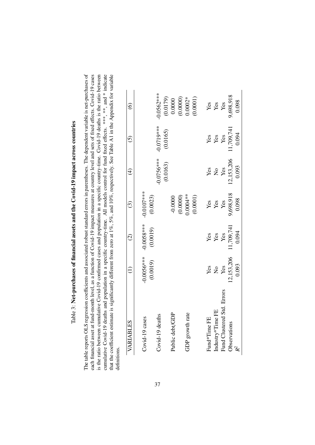| 4                                                 |
|---------------------------------------------------|
|                                                   |
| <b>TAILER COORDOO TO CAREL</b><br> <br> <br> <br> |
|                                                   |
| $\frac{1}{2}$                                     |
|                                                   |
|                                                   |
|                                                   |
|                                                   |
|                                                   |
|                                                   |
| L CH-michael Min<br>nive I and the stase I        |
|                                                   |
|                                                   |
|                                                   |
|                                                   |
|                                                   |
|                                                   |
| י<br>גו<br><b>ADCL</b>                            |
|                                                   |
|                                                   |
|                                                   |
|                                                   |
|                                                   |
|                                                   |
|                                                   |
|                                                   |
|                                                   |
|                                                   |
| I                                                 |
| hases of financia                                 |
|                                                   |
|                                                   |
|                                                   |
|                                                   |
|                                                   |
|                                                   |
|                                                   |
|                                                   |
|                                                   |
| .<br>.<br>.<br>.<br>Í                             |
|                                                   |
|                                                   |
|                                                   |
|                                                   |
|                                                   |
|                                                   |
|                                                   |
| $\frac{1}{2}$                                     |
|                                                   |
| Table                                             |

The table reports OLS regression coefficients and associated robust standard errors in parentheses. The dependent variable is net-purchases of cumulative Covid-19 deaths and population in a specific country-time. All models control for fund fixed effects. \*\*\*, \*\*, and \* indicate each financial asset at fund-month level, as a function of Covid-19 impact measures at country level and sets of fixed effects. Covid-19 cases is the ratio between cumulative Covid-19 confirmed cases and population in a specific country-time. Covid-19 deaths is the ratio between that the coefficient estimate is significantly different from zero at 1%, 5%, and 10%, respectively. See Table A1 in the Appendix for variable The table reports OLS regression coefficients and associated robust standard errors in parentheses. The dependent variable is net-purchases of each financial asset at fund-month level, as a function of Covid-19 impact measures at country level and sets of fixed effects. Covid-19 cases is the ratio between cumulative Covid-19 confirmed cases and population in a specific country-time. Covid-19 deaths is the ratio between cumulative Covid-19 deaths and population in a specific country-time. All models control for fund fixed effects. \*\*\*, and \* indicate that the coefficient estimate is significantly different from zero at 1%, 5%, and 10%, respectively. See Table [A1](#page--1-49) in the Appendix for variable definitions.

| VARIABLES                  |                  | $\widehat{c}$ | $\widehat{\mathbb{C}}$            | $\widehat{E}$ | $\widehat{\odot}$ | ତ୍ର                                        |
|----------------------------|------------------|---------------|-----------------------------------|---------------|-------------------|--------------------------------------------|
|                            |                  |               |                                   |               |                   |                                            |
| Covid-19 cases             | $-0.0056***$     | $-0.0058***$  | $-0.0107$ ***                     |               |                   |                                            |
|                            | (0.0019)         | (0.0019)      | (0.0023)                          |               |                   |                                            |
| Covid-19 deaths            |                  |               |                                   | 0.0756***     | $-0.0719***$      | $0.0562***$                                |
|                            |                  |               |                                   | (0.0163)      | (0.0165)          |                                            |
| Public debt/GDP            |                  |               |                                   |               |                   |                                            |
|                            |                  |               | $-0.0000$<br>(0.0000)<br>0.0004** |               |                   | $(0.0179)$<br>0.0000<br>0.0000)<br>0.0002* |
| GDP growth rate            |                  |               |                                   |               |                   |                                            |
|                            |                  |               | (0.0001)                          |               |                   | (0.0001)                                   |
|                            |                  |               |                                   |               |                   |                                            |
| Fund <sup>*</sup> Time FE  |                  | Yes           | Yes                               |               | Yes               |                                            |
| Industry*Time FE           | Yes<br>No<br>Yes | Yes<br>Yes    | Yes                               | ង<br>ខ្នង     | Yes<br>Yes        | yes<br>Yes<br>Yes                          |
| Fund Clustered Std. Errors |                  |               | Yes                               |               |                   |                                            |
| <b>Observations</b>        | 2,153,206        | 1,709,741     | 9,698,918                         | 12,153,206    | 1,709,741         | 9,698,918                                  |
|                            | 0.093            | 0.094         | 0.098                             | 0.093         | 0.094             | 0.098                                      |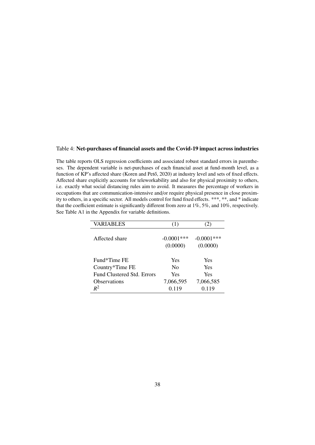### Table 4: Net-purchases of financial assets and the Covid-19 impact across industries

The table reports OLS regression coefficients and associated robust standard errors in parentheses. The dependent variable is net-purchases of each financial asset at fund-month level, as a function of KP's affected share (Koren and Pető, 2020) at industry level and sets of fixed effects. Affected share explicitly accounts for teleworkability and also for physical proximity to others, i.e. exactly what social distancing rules aim to avoid. It measures the percentage of workers in occupations that are communication-intensive and/or require physical presence in close proximity to others, in a specific sector. All models control for fund fixed effects. \*\*\*, \*\*, and \* indicate that the coefficient estimate is significantly different from zero at 1%, 5%, and 10%, respectively. See Table [A1](#page--1-49) in the Appendix for variable definitions.

| <b>VARIABLES</b>                  | (1)                       | (2)                       |
|-----------------------------------|---------------------------|---------------------------|
| Affected share                    | $-0.0001$ ***<br>(0.0000) | $-0.0001$ ***<br>(0.0000) |
| Fund*Time FE                      | Yes                       | Yes                       |
| Country*Time FE                   | $\rm No$                  | <b>Yes</b>                |
| <b>Fund Clustered Std. Errors</b> | Yes                       | <b>Yes</b>                |
| Observations                      | 7,066,595                 | 7,066,585                 |
| $R^2$                             | 0.119                     | 0.119                     |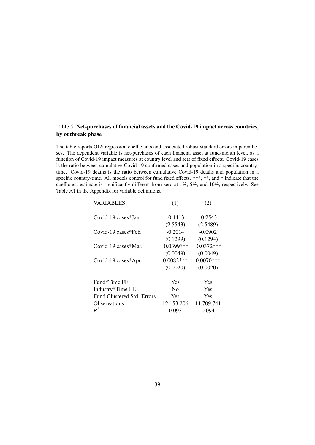# Table 5: Net-purchases of financial assets and the Covid-19 impact across countries, by outbreak phase

The table reports OLS regression coefficients and associated robust standard errors in parentheses. The dependent variable is net-purchases of each financial asset at fund-month level, as a function of Covid-19 impact measures at country level and sets of fixed effects. Covid-19 cases is the ratio between cumulative Covid-19 confirmed cases and population in a specific countrytime. Covid-19 deaths is the ratio between cumulative Covid-19 deaths and population in a specific country-time. All models control for fund fixed effects. \*\*\*, \*\*, and \* indicate that the coefficient estimate is significantly different from zero at 1%, 5%, and 10%, respectively. See Table [A1](#page--1-49) in the Appendix for variable definitions.

| <b>VARIABLES</b>                  | (1)           | (2)          |
|-----------------------------------|---------------|--------------|
|                                   |               |              |
| Covid-19 cases*Jan.               | $-0.4413$     | $-0.2543$    |
|                                   | (2.5543)      | (2.5489)     |
| Covid-19 cases*Feb.               | $-0.2014$     | $-0.0902$    |
|                                   | (0.1299)      | (0.1294)     |
| Covid-19 cases*Mar.               | $-0.0399$ *** | $-0.0372***$ |
|                                   | (0.0049)      | (0.0049)     |
| Covid-19 cases*Apr.               | $0.0082***$   | $0.0070***$  |
|                                   | (0.0020)      | (0.0020)     |
| Fund*Time FE                      | Yes           | Yes          |
| Industry*Time FE                  | $\rm No$      | <b>Yes</b>   |
| <b>Fund Clustered Std. Errors</b> | <b>Yes</b>    | <b>Yes</b>   |
| <b>Observations</b>               | 12,153,206    | 11,709,741   |
| $R^2$                             | 0.093         | 0.094        |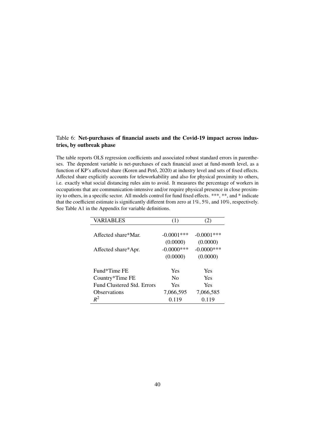# Table 6: Net-purchases of financial assets and the Covid-19 impact across industries, by outbreak phase

The table reports OLS regression coefficients and associated robust standard errors in parentheses. The dependent variable is net-purchases of each financial asset at fund-month level, as a function of KP's affected share (Koren and Pető, 2020) at industry level and sets of fixed effects. Affected share explicitly accounts for teleworkability and also for physical proximity to others, i.e. exactly what social distancing rules aim to avoid. It measures the percentage of workers in occupations that are communication-intensive and/or require physical presence in close proximity to others, in a specific sector. All models control for fund fixed effects. \*\*\*, \*\*, and \* indicate that the coefficient estimate is significantly different from zero at 1%, 5%, and 10%, respectively. See Table [A1](#page--1-49) in the Appendix for variable definitions.

| VARIABLES                  | (1)           | (2)           |
|----------------------------|---------------|---------------|
|                            |               |               |
| Affected share*Mar.        | $-0.0001$ *** | $-0.0001$ *** |
|                            | (0.0000)      | (0.0000)      |
| Affected share*Apr.        | $-0.0000$ *** | $-0.0000$ *** |
|                            | (0.0000)      | (0.0000)      |
| Fund*Time FE               | Yes           | <b>Yes</b>    |
| Country*Time FE            | $\rm No$      | <b>Yes</b>    |
| Fund Clustered Std. Errors | Yes           | <b>Yes</b>    |
| <b>Observations</b>        | 7,066,595     | 7,066,585     |
| $R^2$                      | 0.119         | 0.119         |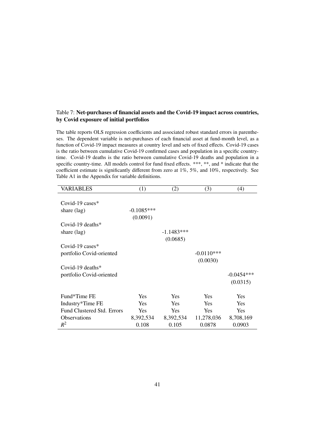# Table 7: Net-purchases of financial assets and the Covid-19 impact across countries, by Covid exposure of initial portfolios

The table reports OLS regression coefficients and associated robust standard errors in parentheses. The dependent variable is net-purchases of each financial asset at fund-month level, as a function of Covid-19 impact measures at country level and sets of fixed effects. Covid-19 cases is the ratio between cumulative Covid-19 confirmed cases and population in a specific countrytime. Covid-19 deaths is the ratio between cumulative Covid-19 deaths and population in a specific country-time. All models control for fund fixed effects. \*\*\*, \*\*, and \* indicate that the coefficient estimate is significantly different from zero at 1%, 5%, and 10%, respectively. See Table [A1](#page--1-49) in the Appendix for variable definitions.

| VARIABLES                         | (1)          | (2)          | (3)          | (4)          |
|-----------------------------------|--------------|--------------|--------------|--------------|
|                                   |              |              |              |              |
| Covid-19 cases $*$                |              |              |              |              |
| share (lag)                       | $-0.1085***$ |              |              |              |
|                                   | (0.0091)     |              |              |              |
| Covid-19 deaths $*$               |              |              |              |              |
| share (lag)                       |              | $-1.1483***$ |              |              |
|                                   |              | (0.0685)     |              |              |
| Covid-19 cases $*$                |              |              |              |              |
| portfolio Covid-oriented          |              |              | $-0.0110***$ |              |
|                                   |              |              | (0.0030)     |              |
| Covid-19 deaths $*$               |              |              |              |              |
| portfolio Covid-oriented          |              |              |              | $-0.0454***$ |
|                                   |              |              |              | (0.0315)     |
|                                   |              |              |              |              |
| Fund*Time FE                      | Yes          | <b>Yes</b>   | <b>Yes</b>   | <b>Yes</b>   |
| Industry*Time FE                  | Yes          | <b>Yes</b>   | <b>Yes</b>   | <b>Yes</b>   |
| <b>Fund Clustered Std. Errors</b> | Yes          | Yes          | <b>Yes</b>   | Yes          |
| <b>Observations</b>               | 8,392,534    | 8,392,534    | 11,278,036   | 8,708,169    |
| $R^2$                             | 0.108        | 0.105        | 0.0878       | 0.0903       |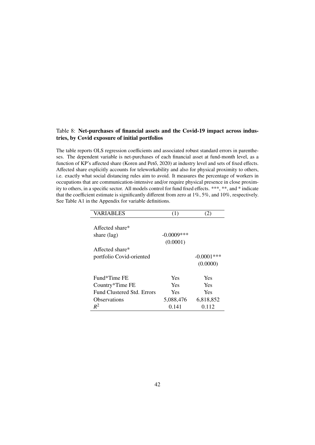# Table 8: Net-purchases of financial assets and the Covid-19 impact across industries, by Covid exposure of initial portfolios

The table reports OLS regression coefficients and associated robust standard errors in parentheses. The dependent variable is net-purchases of each financial asset at fund-month level, as a function of KP's affected share (Koren and Pető, 2020) at industry level and sets of fixed effects. Affected share explicitly accounts for teleworkability and also for physical proximity to others, i.e. exactly what social distancing rules aim to avoid. It measures the percentage of workers in occupations that are communication-intensive and/or require physical presence in close proximity to others, in a specific sector. All models control for fund fixed effects. \*\*\*, \*\*, and \* indicate that the coefficient estimate is significantly different from zero at 1%, 5%, and 10%, respectively. See Table [A1](#page--1-49) in the Appendix for variable definitions.

| VARIABLES                  | (1)           |               |
|----------------------------|---------------|---------------|
|                            |               |               |
| Affected share $*$         |               |               |
| share $(\text{lag})$       | $-0.0009$ *** |               |
|                            | (0.0001)      |               |
| Affected share $*$         |               |               |
| portfolio Covid-oriented   |               | $-0.0001$ *** |
|                            |               | (0.0000)      |
| Fund*Time FE               | Yes           | Yes           |
| Country*Time FE            | Yes           | Yes           |
| Fund Clustered Std. Errors | Yes           | Yes           |
| Observations               | 5,088,476     | 6,818,852     |
| $R^2$                      | 0.141         | 0.112         |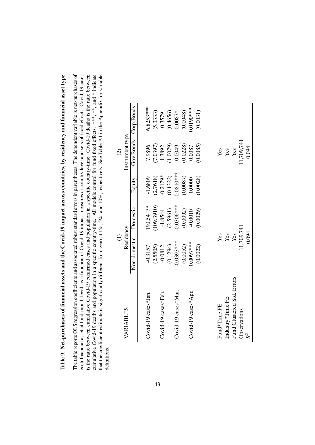Table 9: Net-purchases of financial assets and the Covid-19 impact across countries, by residency and financial asset type Table 9: Net-purchases of financial assets and the Covid-19 impact across countries, by residency and financial asset type The table reports OLS regression coefficients and associated robust standard errors in parentheses. The dependent variable is net-purchases of each financial asset at fund-month level, as a function of Covid-19 impact measures at country level and sets of fixed effects. Covid-19 cases is the ratio between cumulative Covid-19 confirmed cases and population in a specific country-time. Covid-19 deaths is the ratio between cumulative Covid-19 deaths and population in a specific country-time. All models control for fund fixed effects. \*\*\*, \*\*, and \* indicate that the coefficient estimate is significantly different from zero at 1%, 5%, and 10%, respectively. See Table A1 in the Appendix for variable The table reports OLS regression coefficients and associated robust standard errors in parentheses. The dependent variable is net-purchases of each financial asset at fund-month level, as a function of Covid-19 impact measures at country level and sets of fixed effects. Covid-19 cases is the ratio between cumulative Covid-19 confirmed cases and population in a specific country-time. Covid-19 deaths is the ratio between cumulative Covid-19 deaths and population in a specific country-time. All models control for fund fixed effects. \*\*\*, and \* indicate that the coefficient estimate is significantly different from zero at 1%, 5%, and 10%, respectively. See Table [A1](#page--1-49) in the Appendix for variable definitions.

|                            | $\widehat{\Xi}$ |              |                          | $\widehat{\odot}$ |             |
|----------------------------|-----------------|--------------|--------------------------|-------------------|-------------|
| VARIABLES                  | Residency       |              |                          | Instrument type   |             |
|                            | Non-domestic    | Domestic     | Equity                   | Gov.Bonds         | Corp.Bonds  |
| Covid-19 cases*Jan.        | $-0.3157$       | $190.5417*$  | $-1.6809$                | 7.9896            | $6.8253***$ |
|                            | (2.5505)        | 109.3910)    |                          | 7.0397)           | (5.3333)    |
| Covid-19 cases*Feb.        | $-0.0812$       | $-1.8544$    | $(2.7618)$<br>$-0.2179*$ | 1.3892            | 0.3579      |
|                            | (0.1294)        | (2.5961)     | (0.1322)                 | (1.0079)          | (0.4656)    |
| Covid-19 cases*Mar         | $0.0393***$     | $-0.0306***$ | $0.0810$ ***             | 0.0049            | $0.0087*$   |
|                            | (0.0052)        | (0.0092)     | (0.0087)                 | (0.0228)          | (0.0048)    |
| Covid-19 cases*Apr.        | $0007***$       | $-0.0010$    | 0.0000                   | 0.0087            | $0.0190***$ |
|                            | (0.0022)        | (0.0029)     | (0.0028)                 | 0.0085            | (0.0031)    |
|                            |                 |              |                          |                   |             |
| Fund*Time FE               | Yes             |              |                          |                   |             |
| Industry*Time FE           | Yes             |              |                          | ye<br>Yes<br>Yes  |             |
| Fund Clustered Std. Errors | Yes             |              |                          |                   |             |
| Observations               | 1,709,741       |              |                          | 1,709,741         |             |
| $\mathbf{k}^2$             | 0.094           |              |                          | 0.094             |             |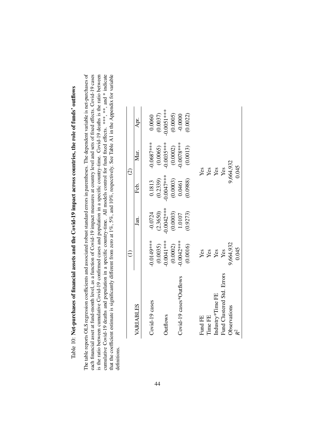|   | ì                              |
|---|--------------------------------|
|   |                                |
|   |                                |
|   |                                |
|   |                                |
|   | j                              |
|   |                                |
|   |                                |
|   | ı                              |
|   | ו<br>י                         |
|   |                                |
|   |                                |
|   | <br> <br>                      |
|   |                                |
|   |                                |
|   |                                |
|   |                                |
|   | י<br>היי ה                     |
|   |                                |
|   |                                |
|   |                                |
|   | CCCCC<br>١                     |
|   |                                |
|   |                                |
|   |                                |
|   | Ċ                              |
|   | I                              |
|   |                                |
|   |                                |
|   | ì                              |
|   |                                |
|   |                                |
|   | $\ddot{\phantom{a}}$           |
|   | Ì                              |
| l |                                |
|   |                                |
|   | i                              |
|   | ż<br>$\ddot{\phantom{a}}$      |
|   | į                              |
|   |                                |
|   |                                |
|   | i                              |
|   | 1                              |
|   |                                |
|   |                                |
|   |                                |
|   |                                |
|   |                                |
|   | I                              |
|   |                                |
|   | ò                              |
|   |                                |
|   |                                |
|   |                                |
|   | $\ddot{\phantom{a}}$<br>Í<br>I |
|   | j                              |
|   |                                |
|   |                                |
|   |                                |
|   | I                              |
|   |                                |
| ľ | ¢<br><u>ក</u><br>ı             |

The table reports OLS regression coefficients and associated robust standard errors in parentheses. The dependent variable is net-purchases of cumulative Covid-19 deaths and population in a specific country-time. All models control for fund fixed effects. \*\*\*, \*\*, and \* indicate each financial asset at fund-month level, as a function of Covid-19 impact measures at country level and sets of fixed effects. Covid-19 cases is the ratio between cumulative Covid-19 confirmed cases and population in a specific country-time. Covid-19 deaths is the ratio between that the coefficient estimate is significantly different from zero at 1%, 5%, and 10%, respectively. See Table A1 in the Appendix for variable The table reports OLS regression coefficients and associated robust standard errors in parentheses. The dependent variable is net-purchases of each financial asset at fund-month level, as a function of Covid-19 impact measures at country level and sets of fixed effects. Covid-19 cases is the ratio between cumulative Covid-19 confirmed cases and population in a specific country-time. Covid-19 deaths is the ratio between cumulative Covid-19 deaths and population in a specific country-time. All models control for fund fixed effects. \*\*\*, and \* indicate that the coefficient estimate is significantly different from zero at 1%, 5%, and 10%, respectively. See Table [A1](#page--1-63) in the Appendix for variable definitions. definitions.

| VARIABLES                  |                         | Jan.                     | Feb.                               | Mar.<br>$\widehat{c}$   | Apr.                    |
|----------------------------|-------------------------|--------------------------|------------------------------------|-------------------------|-------------------------|
| Covid-19 cases             | $-0.0149$ ***           | $-0.0724$                | 0.1813                             | $-0.0687$ ***           | 0.0060                  |
| <b>Outflows</b>            | $0.0041***$<br>(0.0035) | $-0.0042***$<br>(2.3650) | $^{*}_{***}$ 0.0047***<br>(0.2339) | $(0.0065)$<br>0.0035*** | $0.0051***$<br>(0.0037) |
|                            | (0.0002)                |                          |                                    |                         |                         |
| Covid-19 cases*Outflows    | 1.0042***               | $(0.0003)$<br>1.0107     | $(0.0003)$<br>$0.0461$             | $(0.0002)$<br>0.0078*** | (0.0005)                |
|                            | (0.0016)                | (0.9273)                 | (0.0988)                           | (0.0013)                | (0.0022)                |
| Fund FE                    | Yes                     |                          |                                    | Yes                     |                         |
| Time FE                    | Yes                     |                          |                                    |                         |                         |
| Industry*Time FE           | Yes                     |                          |                                    | Yes<br>Yes<br>Yes       |                         |
| Fund Clustered Std. Errors | Yes                     |                          |                                    |                         |                         |
| Observations               | 9,664,932               |                          |                                    | 0,664,932               |                         |
|                            | 0.045                   |                          |                                    | 0.045                   |                         |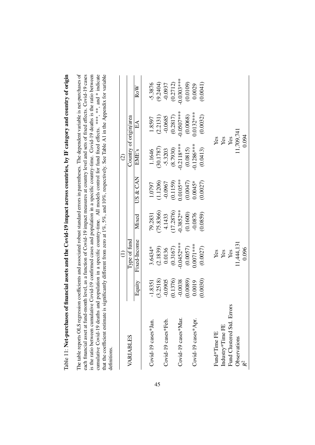| I                                                                                             |
|-----------------------------------------------------------------------------------------------|
| )                                                                                             |
| ֚֕֕֡                                                                                          |
|                                                                                               |
| くこう                                                                                           |
|                                                                                               |
|                                                                                               |
|                                                                                               |
| $\sim$                                                                                        |
|                                                                                               |
|                                                                                               |
|                                                                                               |
| j                                                                                             |
| J                                                                                             |
|                                                                                               |
|                                                                                               |
| I                                                                                             |
| $\overline{1}$<br>i<br>C                                                                      |
|                                                                                               |
| ֧֧֦֧֦֧֧֦֧֦֧֦֧֧֦֧֦֧֧֧֧֧֧֧֧֧֚֚֚֚֚֚֚֚֚֚֚֚֡֕֕֝֬֝֝֓֕֓֕֓֕֬֝֓֝֬֝֓֝֬֝֓֬֝֓֝֬֓֝֬֓֝֬֝֬֝֬֝֬֝֬֝֬֝֬֝֬֝֬֝֬֝֬ |
|                                                                                               |
|                                                                                               |
|                                                                                               |
|                                                                                               |
| ・パーパく ててくまく じ                                                                                 |
|                                                                                               |
| $\vdots$                                                                                      |
|                                                                                               |
|                                                                                               |
|                                                                                               |
|                                                                                               |
|                                                                                               |
|                                                                                               |
|                                                                                               |
| İ                                                                                             |
| í                                                                                             |
| i                                                                                             |
| $\overline{\phantom{a}}$<br>١                                                                 |
|                                                                                               |
|                                                                                               |
|                                                                                               |
|                                                                                               |
|                                                                                               |
|                                                                                               |
|                                                                                               |
|                                                                                               |
|                                                                                               |
|                                                                                               |
|                                                                                               |
| ĺ                                                                                             |
| I                                                                                             |
| $\overline{\phantom{a}}$ or mar                                                               |
|                                                                                               |
|                                                                                               |
|                                                                                               |
|                                                                                               |
| í                                                                                             |
|                                                                                               |
|                                                                                               |
|                                                                                               |
| l<br>֠                                                                                        |
| 1                                                                                             |
|                                                                                               |

The table reports OLS regression coefficients and associated robust standard errors in parentheses. The dependent variable is net-purchases of each financial asset at fund-month level, as a function of Covid-19 impact measures at country level and sets of fixed effects. Covid-19 cases is the ratio between cumulative Covid-19 confirmed cases and population in a specific country-time. Covid-19 deaths is the ratio between cumulative Covid-19 deaths and population in a specific country-time. All models control for fund fixed effects. \*\*\*, \*\*, and \* indicate that the coefficient estimate is significantly different from zero at 1%, 5%, and 10%, respectively. See Table A1 in the Appendix for variable The table reports OLS regression coefficients and associated robust standard errors in parentheses. The dependent variable is net-purchases of each financial asset at fund-month level, as a function of Covid-19 impact measures at country level and sets of fixed effects. Covid-19 cases is the ratio between cumulative Covid-19 confirmed cases and population in a specific country-time. Covid-19 deaths is the ratio between cumulative Covid-19 deaths and population in a specific country-time. All models control for fund fixed effects. \*\*\*, and \* indicate that the coefficient estimate is significantly different from zero at 1%, 5%, and 10%, respectively. See Table [A1](#page--1-49) in the Appendix for variable definitions.

|                            |           |                         |            |             | $\widehat{c}$           |                                        |                       |
|----------------------------|-----------|-------------------------|------------|-------------|-------------------------|----------------------------------------|-----------------------|
| VARIABLES                  |           | Type of fund            |            |             |                         | Country of origin/area                 |                       |
|                            | Equity    | Fixed-Income            | Mixed      | US & CAN    | EME's                   | $E\Lambda$                             | RoW                   |
|                            |           |                         |            |             |                         |                                        |                       |
| Covid-19 cases*Jan.        | $-1.8351$ | 3.6434*                 | 79.2831    | 1.0797      | 1.1646                  | 1.8597                                 | $-5.3876$             |
|                            | (3.2518)  | (2.1839)                | (75.8366)  | (1.1206)    | (30.1787)               | (2.2131)                               | $(9.2404)$<br>-0.0937 |
| Covid-19 cases*Feb.        | $-0.0905$ | 0.0136                  | 4.1433     | $-0.0967$   | $-5.3203$               | $-0.0685$                              |                       |
|                            | (0.1376)  | $(0.3167)$<br>0.0452*** | 17.2876)   | (0.1159)    | $(8.7930)$<br>0.2118*** | $(0.2817)$<br>0.0507***                | (0.2712)              |
| Covid-19 cases*Mar.        | $-0.0038$ |                         | $0.3852**$ | $0.0105***$ |                         |                                        | $0.0303***$           |
|                            | (6800.0)  | (0.0057)                | (0.1600)   | (0.0047)    | $(0.0815)$<br>0.1286*** | (0.0068)                               | (0.0109)              |
| Covid-19 cases*Apr.        | 0.0019    | $0.0071***$             | $-0.0876$  | $0.0045*$   |                         | $0.0132***$                            | 0.0029                |
|                            | 0.0030)   | (0.0027)                | (6580)     | (0.0027)    | (0.0413)                | (0.0032)                               | (1,000,0)             |
| Fund*Time FE               |           |                         |            |             |                         |                                        |                       |
| Industry*Time FE           |           | Yes<br>Yes<br>Yes       |            |             |                         | Yes<br>Yes<br>Yes<br>Yes<br>11,709,741 |                       |
| Fund Clustered Std. Errors |           |                         |            |             |                         |                                        |                       |
| Observations               |           | 11,444,131              |            |             |                         |                                        |                       |
|                            |           | 0.096                   |            |             |                         | 0.094                                  |                       |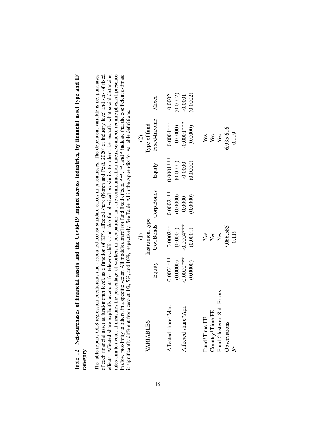Table 12: Net-purchases of financial assets and the Covid-19 impact across industries, by financial asset type and IF Table 12: Net-purchases of financial assets and the Covid-19 impact across industries, by financial asset type and IF category

rules aim to avoid. It measures the percentage of workers in occupations that are communication-intensive and/or require physical presence in close proximity to others, in a specific sector. All models control for fund fixed effects. \*\*\*, \*\*\*, and \* indicate that the coefficient estimate The table reports OLS regression coefficients and associated robust standard errors in parentheses. The dependent variable is net-purchases of each financial asset at fund-month level, as a function of KP's affected share (Koren and Pető, 2020) at industry level and sets of fixed effects. Affected share explicitly accounts for teleworkability and also for physical proximity to others, i.e. exactly what social distancing The table reports OLS regression coefficients and associated robust standard errors in parentheses. The dependent variable is net-purchases of each financial asset at fund-month level, as a function of KP's affected share [\(Koren](#page--1-64) and Pet˝o, [2020\)](#page--1-64) at industry level and sets of fixed effects. Affected share explicitly accounts for teleworkability and also for physical proximity to others, i.e. exactly what social distancing rules aim to avoid. It measures the percentage of workers in occupations that are communication-intensive and/or require physical presence in close proximity to others, in a specific sector. All models control for fund fixed effects. \*\*\*, \*\*, and \* indicate that the coefficient estimate is significantly different from zero at 1%, 5%, and 10%, respectively. See Table A1 in the Appendix for variable definitions. is significantly different from zero at 1%, 5%, and 10%, respectively. See Table [A1](#page--1-63) in the Appendix for variable definitions.

|                            |                           |                           |                        |                       | $\odot$                                                             |                       |
|----------------------------|---------------------------|---------------------------|------------------------|-----------------------|---------------------------------------------------------------------|-----------------------|
| VARIABLES                  |                           | Instrument type           |                        |                       | Type of fund                                                        |                       |
|                            | Equity                    |                           | Gov.Bonds Corp.Bonds   | Equity                | Fixed-Income                                                        | Mixed                 |
|                            |                           |                           |                        |                       |                                                                     |                       |
| Affected share*Mar.        | $0.0001***$               | $-0.0002**$               | $-0.0002***$           | $-0.0001$ ***         | $0.0001***$                                                         | $-0.0002$             |
|                            | $(0.0000)$<br>$0.0000***$ | $(0.0001)$<br>$0.0004***$ | $(0.0000)$<br>$0.0000$ | $(0.0000)$<br>-0.0000 |                                                                     |                       |
| Affected share*Apr.        |                           |                           |                        |                       |                                                                     | $(0.0002)$<br>-0.0001 |
|                            | (0.0000)                  | (0.0001)                  | (0.0000)               | (0.0000)              | $\begin{array}{c} (0.0000) \\ 0.0001^{***} \\ (0.0000) \end{array}$ | 0.0002)               |
|                            |                           |                           |                        |                       |                                                                     |                       |
| Fund <sup>*</sup> Time FE  |                           | Yes                       |                        |                       | Yes                                                                 |                       |
| Country*Time FE            |                           | Yes                       |                        |                       | Yes                                                                 |                       |
| Fund Clustered Std. Errors |                           | Yes                       |                        |                       | Yes                                                                 |                       |
| Observations               |                           | ,066,585                  |                        |                       | 5,935,616                                                           |                       |
| $\mathcal{R}^2$            |                           | 0.119                     |                        |                       | 0.119                                                               |                       |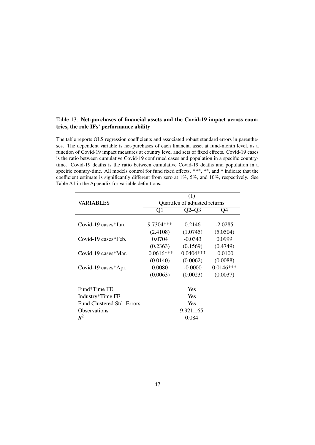# Table 13: Net-purchases of financial assets and the Covid-19 impact across countries, the role IFs' performance ability

The table reports OLS regression coefficients and associated robust standard errors in parentheses. The dependent variable is net-purchases of each financial asset at fund-month level, as a function of Covid-19 impact measures at country level and sets of fixed effects. Covid-19 cases is the ratio between cumulative Covid-19 confirmed cases and population in a specific countrytime. Covid-19 deaths is the ratio between cumulative Covid-19 deaths and population in a specific country-time. All models control for fund fixed effects. \*\*\*, \*\*, and \* indicate that the coefficient estimate is significantly different from zero at 1%, 5%, and 10%, respectively. See Table [A1](#page--1-49) in the Appendix for variable definitions.

|                                   |              | (1)                           |             |
|-----------------------------------|--------------|-------------------------------|-------------|
| <b>VARIABLES</b>                  |              | Quartiles of adjusted returns |             |
|                                   | Q1           | $Q2-Q3$                       | Q4          |
|                                   |              |                               |             |
| Covid-19 cases $*$ Ian.           | $9.7304***$  | 0.2146                        | $-2.0285$   |
|                                   | (2.4108)     | (1.0745)                      | (5.0504)    |
| $Covid-19 \; \text{cases*}$ Feb.  | 0.0704       | $-0.0343$                     | 0.0999      |
|                                   | (0.2363)     | (0.1569)                      | (0.4749)    |
| Covid-19 cases*Mar.               | $-0.0616***$ | $-0.0404***$                  | $-0.0100$   |
|                                   | (0.0140)     | (0.0062)                      | (0.0088)    |
| Covid-19 cases*Apr.               | 0.0080       | $-0.0000$                     | $0.0146***$ |
|                                   | (0.0063)     | (0.0023)                      | (0.0037)    |
| Fund*Time FE                      |              | <b>Yes</b>                    |             |
| Industry*Time FE                  |              | <b>Yes</b>                    |             |
| <b>Fund Clustered Std. Errors</b> |              | <b>Yes</b>                    |             |
| <b>Observations</b>               |              |                               |             |
|                                   |              | 9,921,165                     |             |
| $R^2$                             |              | 0.084                         |             |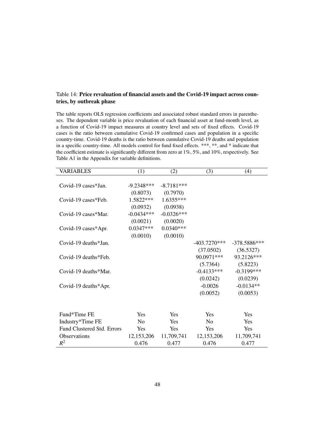# Table 14: Price revaluation of financial assets and the Covid-19 impact across countries, by outbreak phase

The table reports OLS regression coefficients and associated robust standard errors in parentheses. The dependent variable is price revaluation of each financial asset at fund-month level, as a function of Covid-19 impact measures at country level and sets of fixed effects. Covid-19 cases is the ratio between cumulative Covid-19 confirmed cases and population in a specific country-time. Covid-19 deaths is the ratio between cumulative Covid-19 deaths and population in a specific country-time. All models control for fund fixed effects. \*\*\*, \*\*, and \* indicate that the coefficient estimate is significantly different from zero at 1%, 5%, and 10%, respectively. See Table [A1](#page--1-49) in the Appendix for variable definitions.

| <b>VARIABLES</b>           | (1)            | (2)          | (3)            | (4)            |
|----------------------------|----------------|--------------|----------------|----------------|
| Covid-19 cases*Jan.        | $-9.2348***$   | $-8.7181***$ |                |                |
|                            | (0.8073)       | (0.7970)     |                |                |
| Covid-19 cases*Feb.        | 1.5822***      | $1.6355***$  |                |                |
|                            | (0.0932)       | (0.0938)     |                |                |
| Covid-19 cases*Mar.        | $-0.0434***$   | $-0.0326***$ |                |                |
|                            | (0.0021)       | (0.0020)     |                |                |
| Covid-19 cases*Apr.        | $0.0347***$    | $0.0340***$  |                |                |
|                            | (0.0010)       | (0.0010)     |                |                |
| Covid-19 deaths*Jan.       |                |              | $-403.7270***$ | $-378.5886***$ |
|                            |                |              | (37.0502)      | (36.5327)      |
| Covid-19 deaths*Feb.       |                |              | 90.0971***     | 93.2126***     |
|                            |                |              | (5.7364)       | (5.8223)       |
| Covid-19 deaths*Mar.       |                |              | $-0.4133***$   | $-0.3199$ ***  |
|                            |                |              | (0.0242)       | (0.0239)       |
| Covid-19 deaths*Apr.       |                |              | $-0.0026$      | $-0.0134**$    |
|                            |                |              | (0.0052)       | (0.0053)       |
|                            |                |              |                |                |
| Fund*Time FE               | <b>Yes</b>     | Yes          | Yes            | Yes            |
| Industry*Time FE           | N <sub>0</sub> | Yes          | N <sub>0</sub> | Yes            |
| Fund Clustered Std. Errors | Yes            | Yes          | Yes            | Yes            |
| <b>Observations</b>        | 12,153,206     | 11,709,741   | 12,153,206     | 11,709,741     |
| $R^2$                      | 0.476          | 0.477        | 0.476          | 0.477          |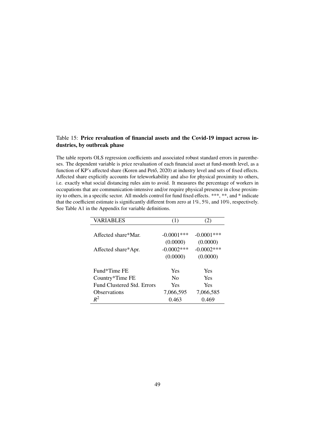# Table 15: Price revaluation of financial assets and the Covid-19 impact across industries, by outbreak phase

The table reports OLS regression coefficients and associated robust standard errors in parentheses. The dependent variable is price revaluation of each financial asset at fund-month level, as a function of KP's affected share (Koren and Pető, 2020) at industry level and sets of fixed effects. Affected share explicitly accounts for teleworkability and also for physical proximity to others, i.e. exactly what social distancing rules aim to avoid. It measures the percentage of workers in occupations that are communication-intensive and/or require physical presence in close proximity to others, in a specific sector. All models control for fund fixed effects. \*\*\*, \*\*, and \* indicate that the coefficient estimate is significantly different from zero at 1%, 5%, and 10%, respectively. See Table [A1](#page--1-49) in the Appendix for variable definitions.

| VARIABLES                  | (1)           | (2)           |
|----------------------------|---------------|---------------|
|                            |               |               |
| Affected share*Mar.        | $-0.0001$ *** | $-0.0001$ *** |
|                            | (0.0000)      | (0.0000)      |
| Affected share*Apr.        | $-0.0002$ *** | $-0.0002$ *** |
|                            | (0.0000)      | (0.0000)      |
| Fund*Time FE               | Yes           | <b>Yes</b>    |
| Country*Time FE            | $\rm No$      | <b>Yes</b>    |
| Fund Clustered Std. Errors | Yes           | <b>Yes</b>    |
| Observations               | 7,066,595     | 7,066,585     |
| $R^2$                      | 0.463         | 0.469         |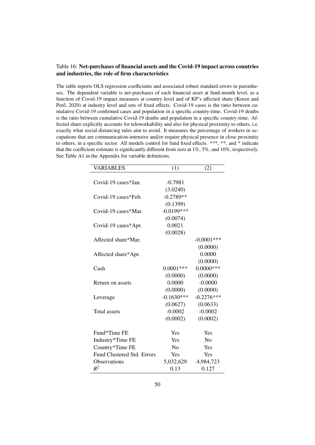# Table 16: Net-purchases of financial assets and the Covid-19 impact across countries and industries, the role of firm characteristics

The table reports OLS regression coefficients and associated robust standard errors in parentheses. The dependent variable is net-purchases of each financial asset at fund-month level, as a function of Covid-19 impact measures at country level and of KP's affected share (Koren and Pető, [2020\)](#page--1-7) at industry level and sets of fixed effects. Covid-19 cases is the ratio between cumulative Covid-19 confirmed cases and population in a specific country-time. Covi[d-19 deaths](#page--1-7) [is the](#page--1-7) ratio between cumulative Covid-19 deaths and population in a specific country-time. Affected share explicitly accounts for teleworkability and also for physical proximity to others, i.e. exactly what social distancing rules aim to avoid. It measures the percentage of workers in occupations that are communication-intensive and/or require physical presence in close proximity to others, in a specific sector. All models control for fund fixed effects. \*\*\*, \*\*, and \* indicate that the coefficient estimate is significantly different from zero at 1%, 5%, and 10%, respectively. See Table A1 in the Appendix for variable definitions.

| <b>VARIABLES</b>                  | (1)            | (2)            |
|-----------------------------------|----------------|----------------|
|                                   |                |                |
| Covid-19 cases*Jan.               | $-0.7981$      |                |
|                                   | (3.0240)       |                |
| Covid-19 cases*Feb.               | $-0.2789**$    |                |
|                                   | (0.1399)       |                |
| Covid-19 cases*Mar.               | $-0.0199***$   |                |
|                                   | (0.0074)       |                |
| Covid-19 cases*Apr.               | 0.0021         |                |
|                                   | (0.0028)       |                |
| Affected share*Mar.               |                | $-0.0001$ ***  |
|                                   |                | (0.0000)       |
| Affected share*Apr.               |                | 0.0000         |
|                                   |                | (0.0000)       |
| Cash                              | $0.0001***$    | $0.0000$ ***   |
|                                   | (0.0000)       | (0.0000)       |
| Return on assets                  | 0.0000         | $-0.0000$      |
|                                   | (0.0000)       | (0.0000)       |
| Leverage                          | $-0.1630***$   | $-0.2276***$   |
|                                   | (0.0627)       | (0.0633)       |
| Total assets                      | $-0.0002$      | $-0.0002$      |
|                                   | (0.0002)       | (0.0002)       |
| Fund*Time FE                      | Yes            | Yes            |
| Industry*Time FE                  | Yes            | N <sub>0</sub> |
| Country*Time FE                   | N <sub>0</sub> | Yes            |
| <b>Fund Clustered Std. Errors</b> | Yes            | Yes            |
| Observations                      | 5,032,629      | 4,984,723      |
| $R^2$                             | 0.13           | 0.127          |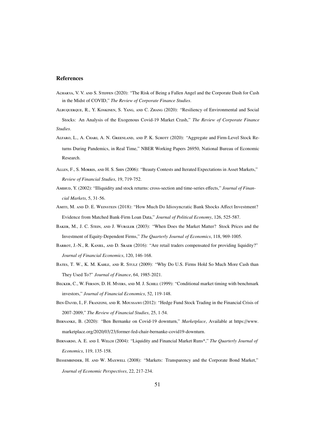#### References

- ACHARYA, V. V. AND S. STEFFEN (2020): "The Risk of Being a Fallen Angel and the Corporate Dash for Cash in the Midst of COVID," *The Review of Corporate Finance Studies*.
- Albuquerque, R., Y. Koskinen, S. Yang, and C. Zhang (2020): "Resiliency of Environmental and Social Stocks: An Analysis of the Exogenous Covid-19 Market Crash," *The Review of Corporate Finance Studies*.
- ALFARO, L., A. CHARI, A. N. GREENLAND, AND P. K. SCHOTT (2020): "Aggregate and Firm-Level Stock Returns During Pandemics, in Real Time," NBER Working Papers 26950, National Bureau of Economic Research.
- Allen, F., S. Morris, and H. S. Shin (2006): "Beauty Contests and Iterated Expectations in Asset Markets," *Review of Financial Studies*, 19, 719-752.
- Amihud, Y. (2002): "Illiquidity and stock returns: cross-section and time-series effects," *Journal of Financial Markets*, 5, 31-56.
- Amiti, M. and D. E. Weinstein (2018): "How Much Do Idiosyncratic Bank Shocks Affect Investment? Evidence from Matched Bank-Firm Loan Data," *Journal of Political Economy*, 126, 525-587.
- BAKER, M., J. C. STEIN, AND J. WURGLER (2003): "When Does the Market Matter? Stock Prices and the Investment of Equity-Dependent Firms," *The Quarterly Journal of Economics*, 118, 969-1005.
- BARROT, J.-N., R. KANIEL, AND D. SRAER (2016): "Are retail traders compensated for providing liquidity?" *Journal of Financial Economics*, 120, 146-168.
- BATES, T. W., K. M. KAHLE, AND R. STULZ (2009): "Why Do U.S. Firms Hold So Much More Cash than They Used To?" *Journal of Finance*, 64, 1985-2021.
- BECKER, C., W. FERSON, D. H. MYERS, AND M. J. SCHILL (1999): "Conditional market timing with benchmark investors," *Journal of Financial Economics*, 52, 119-148.
- Ben-David, I., F. Franzoni, and R. Moussawi (2012): "Hedge Fund Stock Trading in the Financial Crisis of 2007-2009," *The Review of Financial Studies*, 25, 1-54.
- Bernanke, B. (2020): "Ben Bernanke on Covid-19 downturn," *Marketplace*, Available at https://[www.](https://www.marketplace.org/2020/03/23/former-fed-chair-bernanke-covid19-downturn) marketplace.org/2020/03/23/[former-fed-chair-bernanke-covid19-downturn.](https://www.marketplace.org/2020/03/23/former-fed-chair-bernanke-covid19-downturn)
- Bernardo, A. E. and I. Welch (2004): "Liquidity and Financial Market Runs\*," *The Quarterly Journal of Economics*, 119, 135-158.
- Bessembinder, H. and W. Maxwell (2008): "Markets: Transparency and the Corporate Bond Market," *Journal of Economic Perspectives*, 22, 217-234.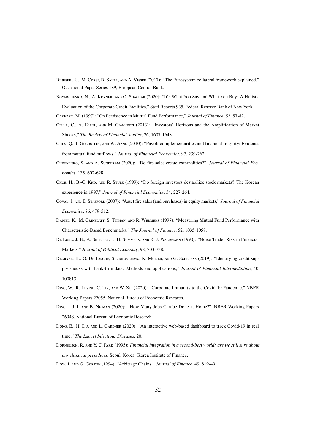- Bindseil, U., M. Corsi, B. Sahel, and A. Visser (2017): "The Eurosystem collateral framework explained," Occasional Paper Series 189, European Central Bank.
- BOYARCHENKO, N., A. KOVNER, AND O. SHACHAR (2020): "It's What You Say and What You Buy: A Holistic Evaluation of the Corporate Credit Facilities," Staff Reports 935, Federal Reserve Bank of New York.
- Carhart, M. (1997): "On Persistence in Mutual Fund Performance," *Journal of Finance*, 52, 57-82.
- Cella, C., A. Ellul, and M. Giannetti (2013): "Investors' Horizons and the Amplification of Market Shocks," *The Review of Financial Studies*, 26, 1607-1648.
- CHEN, Q., I. GOLDSTEIN, AND W. JIANG (2010): "Payoff complementarities and financial fragility: Evidence from mutual fund outflows," *Journal of Financial Economics*, 97, 239-262.
- Chernenko, S. and A. Sunderam (2020): "Do fire sales create externalities?" *Journal of Financial Economics*, 135, 602-628.
- Choe, H., B.-C. Kho, and R. Stulz (1999): "Do foreign investors destabilize stock markets? The Korean experience in 1997," *Journal of Financial Economics*, 54, 227-264.
- Coval, J. and E. Stafford (2007): "Asset fire sales (and purchases) in equity markets," *Journal of Financial Economics*, 86, 479-512.
- DANIEL, K., M. GRINBLATT, S. TITMAN, AND R. WERMERS (1997): "Measuring Mutual Fund Performance with Characteristic-Based Benchmarks," *The Journal of Finance*, 52, 1035-1058.
- De Long, J. B., A. Shleifer, L. H. Summers, and R. J. Waldmann (1990): "Noise Trader Risk in Financial Markets," *Journal of Political Economy*, 98, 703-738.
- DEGRYSE, H., O. DE JONGHE, S. JAKOVLJEVIĆ, K. MULIER, AND G. SCHEPENS (2019): "Identifying credit supply shocks with bank-firm data: Methods and applications," *Journal of Financial Intermediation*, 40, 100813.
- Ding, W., R. Levine, C. Lin, and W. Xie (2020): "Corporate Immunity to the Covid-19 Pandemic," NBER Working Papers 27055, National Bureau of Economic Research.
- Dingel, J. I. and B. Neiman (2020): "How Many Jobs Can be Done at Home?" NBER Working Papers 26948, National Bureau of Economic Research.
- Dong, E., H. Du, AND L. GARDNER (2020): "An interactive web-based dashboard to track Covid-19 in real time," *The Lancet Infectious Diseases*, 20.
- Dornbusch, R. and Y. C. Park (1995): *Financial integration in a second-best world: are we still sure about our classical prejudices*, Seoul, Korea: Korea Institute of Finance.
- Dow, J. and G. Gorton (1994): "Arbitrage Chains," *Journal of Finance*, 49, 819-49.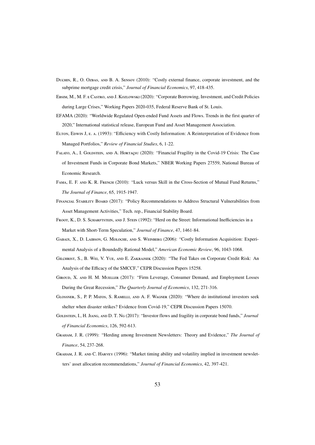- Duchin, R., O. Ozbas, and B. A. Sensoy (2010): "Costly external finance, corporate investment, and the subprime mortgage credit crisis," *Journal of Financial Economics*, 97, 418-435.
- Ebsim, M., M. F. e Castro, and J. Kozlowski (2020): "Corporate Borrowing, Investment, and Credit Policies during Large Crises," Working Papers 2020-035, Federal Reserve Bank of St. Louis.
- EFAMA (2020): "Worldwide Regulated Open-ended Fund Assets and Flows. Trends in the first quarter of 2020," International statistical release, European Fund and Asset Management Association.
- Elton, Edwin J, e. a. (1993): "Efficiency with Costly Information: A Reinterpretation of Evidence from Managed Portfolios," *Review of Financial Studies*, 6, 1-22.
- FALATO, A., I. GOLDSTEIN, AND A. HORTAÇSU (2020): "Financial Fragility in the Covid-19 Crisis: The Case of Investment Funds in Corporate Bond Markets," NBER Working Papers 27559, National Bureau of Economic Research.
- Fama, E. F. and K. R. French (2010): "Luck versus Skill in the Cross-Section of Mutual Fund Returns," *The Journal of Finance*, 65, 1915-1947.
- Financial Stability Board (2017): "Policy Recommendations to Address Structural Vulnerabilities from Asset Management Activities," Tech. rep., Financial Stability Board.
- FROOT, K., D. S. SCHARFTSTEIN, AND J. STEIN (1992): "Herd on the Street: Informational Inefficiencies in a Market with Short-Term Speculation," *Journal of Finance*, 47, 1461-84.
- Gabaix, X., D. Laibson, G. Moloche, and S. Weinberg (2006): "Costly Information Acquisition: Experimental Analysis of a Boundedly Rational Model," *American Economic Review*, 96, 1043-1068.
- Gilchrist, S., B. Wei, V. Yue, and E. Zakrajsek (2020): "The Fed Takes on Corporate Credit Risk: An Analysis of the Efficacy of the SMCCF," CEPR Discussion Papers 15258.
- Giroud, X. and H. M. Mueller (2017): "Firm Leverage, Consumer Demand, and Employment Losses During the Great Recession," *The Quarterly Journal of Economics*, 132, 271-316.
- Glossner, S., P. P. Matos, S. Ramelli, and A. F. Wagner (2020): "Where do institutional investors seek shelter when disaster strikes? Evidence from Covid-19," CEPR Discussion Papers 15070.
- Goldstein, I., H. Jiang, and D. T. Ng (2017): "Investor flows and fragility in corporate bond funds," *Journal of Financial Economics*, 126, 592-613.
- Graham, J. R. (1999): "Herding among Investment Newsletters: Theory and Evidence," *The Journal of Finance*, 54, 237-268.
- GRAHAM, J. R. AND C. HARVEY (1996): "Market timing ability and volatility implied in investment newsletters' asset allocation recommendations," *Journal of Financial Economics*, 42, 397-421.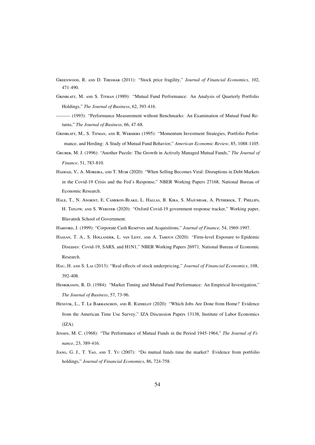- Greenwood, R. and D. Thesmar (2011): "Stock price fragility," *Journal of Financial Economics*, 102, 471-490.
- Grinblatt, M. and S. Titman (1989): "Mutual Fund Performance: An Analysis of Quarterly Portfolio Holdings," *The Journal of Business*, 62, 393-416.
- ——— (1993): "Performance Measurement without Benchmarks: An Examination of Mutual Fund Returns," *The Journal of Business*, 66, 47-68.
- Grinblatt, M., S. Titman, and R. Wermers (1995): "Momentum Investment Strategies, Portfolio Performance, and Herding: A Study of Mutual Fund Behavior," *American Economic Review*, 85, 1088-1105.
- Gruber, M. J. (1996): "Another Puzzle: The Growth in Actively Managed Mutual Funds," *The Journal of Finance*, 51, 783-810.
- Haddad, V., A. Moreira, and T. Muir (2020): "When Selling Becomes Viral: Disruptions in Debt Markets in the Covid-19 Crisis and the Fed's Response," NBER Working Papers 27168, National Bureau of Economic Research.
- Hale, T., N. Angrist, E. Cameron-Blake, L. Hallas, B. Kira, S. Majumdar, A. Petherick, T. Phillips, H. TATLOW, AND S. WEBSTER (2020): "Oxford Covid-19 government response tracker," Working paper, Blavatnik School of Government.
- Harford, J. (1999): "Corporate Cash Reserves and Acquisitions," *Journal of Finance*, 54, 1969-1997.
- Hassan, T. A., S. Hollander, L. van Lent, and A. Tahoun (2020): "Firm-level Exposure to Epidemic Diseases: Covid-19, SARS, and H1N1," NBER Working Papers 26971, National Bureau of Economic Research.
- Hau, H. and S. Lai (2013): "Real effects of stock underpricing," *Journal of Financial Economics*, 108, 392-408.
- HENRIKSSON, R. D. (1984): "Market Timing and Mutual Fund Performance: An Empirical Investigation," *The Journal of Business*, 57, 73-96.
- HENSVIK, L., T. LE BARBANCHON, AND R. RATHELOT (2020): "Which Jobs Are Done from Home? Evidence from the American Time Use Survey," IZA Discussion Papers 13138, Institute of Labor Economics  $(IZA).$
- Jensen, M. C. (1968): "The Performance of Mutual Funds in the Period 1945-1964," *The Journal of Finance*, 23, 389-416.
- Jiang, G. J., T. Yao, and T. Yu (2007): "Do mutual funds time the market? Evidence from portfolio holdings," *Journal of Financial Economics*, 86, 724-758.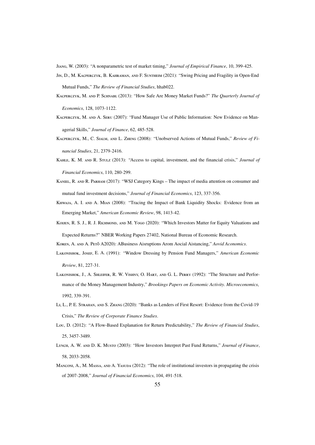Jiang, W. (2003): "A nonparametric test of market timing," *Journal of Empirical Finance*, 10, 399-425.

- Jin, D., M. Kacperczyk, B. Kahraman, and F. Suntheim (2021): "Swing Pricing and Fragility in Open-End Mutual Funds," *The Review of Financial Studies*, hhab022.
- Kacperczyk, M. and P. Schnabl (2013): "How Safe Are Money Market Funds?" *The Quarterly Journal of Economics*, 128, 1073-1122.
- Kacperczyk, M. and A. Seru (2007): "Fund Manager Use of Public Information: New Evidence on Managerial Skills," *Journal of Finance*, 62, 485-528.
- Kacperczyk, M., C. Sialm, and L. Zheng (2008): "Unobserved Actions of Mutual Funds," *Review of Financial Studies*, 21, 2379-2416.
- Kahle, K. M. and R. Stulz (2013): "Access to capital, investment, and the financial crisis," *Journal of Financial Economics*, 110, 280-299.
- Kaniel, R. and R. Parham (2017): "WSJ Category Kings The impact of media attention on consumer and mutual fund investment decisions," *Journal of Financial Economics*, 123, 337-356.
- KHWAJA, A. I. AND A. MIAN (2008): "Tracing the Impact of Bank Liquidity Shocks: Evidence from an Emerging Market," *American Economic Review*, 98, 1413-42.
- KOIJEN, R. S. J., R. J. RICHMOND, AND M. YOGO (2020): "Which Investors Matter for Equity Valuations and Expected Returns?" NBER Working Papers 27402, National Bureau of Economic Research.

Koren, A. and A. Pet˝o A2020): ABusiness Aisruptions Arom Aocial Aistancing," *Aovid Aconomics*.

- LAKONISHOK, JOSEF, E. A. (1991): "Window Dressing by Pension Fund Managers," American Economic *Review*, 81, 227-31.
- Lakonishok, J., A. Shleifer, R. W. Vishny, O. Hart, and G. L. Perry (1992): "The Structure and Performance of the Money Management Industry," *Brookings Papers on Economic Activity. Microeconomics*, 1992, 339-391.
- Li, L., P. E. Strahan, and S. Zhang (2020): "Banks as Lenders of First Resort: Evidence from the Covid-19 Crisis," *The Review of Corporate Finance Studies*.
- Lou, D. (2012): "A Flow-Based Explanation for Return Predictability," *The Review of Financial Studies*, 25, 3457-3489.
- Lynch, A. W. and D. K. Musto (2003): "How Investors Interpret Past Fund Returns," *Journal of Finance*, 58, 2033-2058.
- MANCONI, A., M. MASSA, AND A. YASUDA (2012): "The role of institutional investors in propagating the crisis of 2007-2008," *Journal of Financial Economics*, 104, 491-518.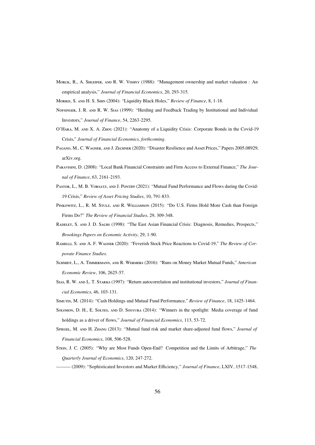MORCK, R., A. SHLEIFER, AND R. W. VISHNY (1988): "Management ownership and market valuation : An empirical analysis," *Journal of Financial Economics*, 20, 293-315.

Morris, S. and H. S. Shin (2004): "Liquidity Black Holes," *Review of Finance*, 8, 1-18.

- Nofsinger, J. R. and R. W. Sias (1999): "Herding and Feedback Trading by Institutional and Individual Investors," *Journal of Finance*, 54, 2263-2295.
- O'Hara, M. and X. A. Zhou (2021): "Anatomy of a Liquidity Crisis: Corporate Bonds in the Covid-19 Crisis," *Journal of Financial Economics, forthcoming*.
- Pagano, M., C. Wagner, and J. Zechner (2020): "Disaster Resilience and Asset Prices," Papers 2005.08929, arXiv.org.
- Paravisini, D. (2008): "Local Bank Financial Constraints and Firm Access to External Finance," *The Journal of Finance*, 63, 2161-2193.
- PASTOR, L., M. B. VORSATZ, AND J. PONTIFF (2021): "Mutual Fund Performance and Flows during the Covid-19 Crisis," *Review of Asset Pricing Studies*, 10, 791-833.
- Pinkowitz, L., R. M. Stulz, and R. Williamson (2015): "Do U.S. Firms Hold More Cash than Foreign Firms Do?" *The Review of Financial Studies*, 29, 309-348.
- Radelet, S. and J. D. Sachs (1998): "The East Asian Financial Crisis: Diagnosis, Remedies, Prospects," *Brookings Papers on Economic Activity*, 29, 1-90.
- Ramelli, S. and A. F. Wagner (2020): "Feverish Stock Price Reactions to Covid-19," *The Review of Corporate Finance Studies*.
- Schmidt, L., A. Timmermann, and R. Wermers (2016): "Runs on Money Market Mutual Funds," *American Economic Review*, 106, 2625-57.
- Sias, R. W. and L. T. Starks (1997): "Return autocorrelation and institutional investors," *Journal of Financial Economics*, 46, 103-131.
- Simutin, M. (2014): "Cash Holdings and Mutual Fund Performance," *Review of Finance*, 18, 1425-1464.
- Solomon, D. H., E. Soltes, and D. Sosyura (2014): "Winners in the spotlight: Media coverage of fund holdings as a driver of flows," *Journal of Financial Economics*, 113, 53-72.
- Spiegel, M. and H. Zhang (2013): "Mutual fund risk and market share-adjusted fund flows," *Journal of Financial Economics*, 108, 506-528.
- Stein, J. C. (2005): "Why are Most Funds Open-End? Competition and the Limits of Arbitrage," *The Quarterly Journal of Economics*, 120, 247-272.

——— (2009): "Sophisticated Investors and Market Efficiency," *Journal of Finance*, LXIV, 1517-1548,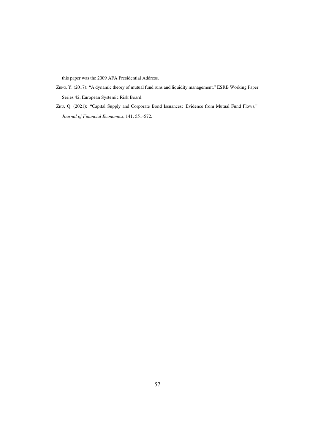this paper was the 2009 AFA Presidential Address.

- Zeng, Y. (2017): "A dynamic theory of mutual fund runs and liquidity management," ESRB Working Paper Series 42, European Systemic Risk Board.
- Zhu, Q. (2021): "Capital Supply and Corporate Bond Issuances: Evidence from Mutual Fund Flows," *Journal of Financial Economics*, 141, 551-572.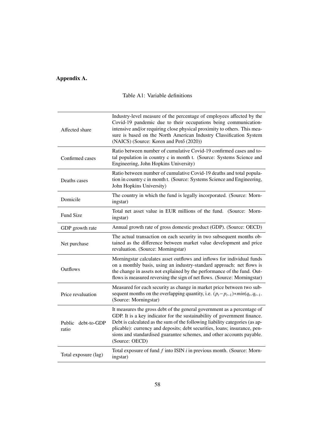# Appendix A.

| Affected share                 | Industry-level measure of the percentage of employees affected by the<br>Covid-19 pandemic due to their occupations being communication-<br>intensive and/or requiring close physical proximity to others. This mea-<br>sure is based on the North American Industry Classification System<br>(NAICS) (Source: Koren and Pető (2020))                                                                      |
|--------------------------------|------------------------------------------------------------------------------------------------------------------------------------------------------------------------------------------------------------------------------------------------------------------------------------------------------------------------------------------------------------------------------------------------------------|
| Confirmed cases                | Ratio between number of cumulative Covid-19 confirmed cases and to-<br>tal population in country c in month t. (Source: Systems Science and<br>Engineering, John Hopkins University)                                                                                                                                                                                                                       |
| Deaths cases                   | Ratio between number of cumulative Covid-19 deaths and total popula-<br>tion in country c in month t. (Source: Systems Science and Engineering,<br>John Hopkins University)                                                                                                                                                                                                                                |
| Domicile                       | The country in which the fund is legally incorporated. (Source: Morn-<br>ingstar)                                                                                                                                                                                                                                                                                                                          |
| <b>Fund Size</b>               | Total net asset value in EUR millions of the fund. (Source: Morn-<br>ingstar)                                                                                                                                                                                                                                                                                                                              |
| GDP growth rate                | Annual growth rate of gross domestic product (GDP). (Source: OECD)                                                                                                                                                                                                                                                                                                                                         |
| Net purchase                   | The actual transaction on each security in two subsequent months ob-<br>tained as the difference between market value development and price<br>revaluation. (Source: Morningstar)                                                                                                                                                                                                                          |
| <b>Outflows</b>                | Morningstar calculates asset outflows and inflows for individual funds<br>on a monthly basis, using an industry-standard approach: net flows is<br>the change in assets not explained by the performance of the fund. Out-<br>flows is measured reversing the sign of net flows. (Source: Morningstar)                                                                                                     |
| Price revaluation              | Measured for each security as change in market price between two sub-<br>sequent months on the overlapping quantity, i.e. $(p_t - p_{t-1}) \cdot min(q_t, q_{t-1})$ .<br>(Source: Morningstar)                                                                                                                                                                                                             |
| debt-to-GDP<br>Public<br>ratio | It measures the gross debt of the general government as a percentage of<br>GDP. It is a key indicator for the sustainability of government finance.<br>Debt is calculated as the sum of the following liability categories (as ap-<br>plicable): currency and deposits; debt securities, loans; insurance, pen-<br>sions and standardised guarantee schemes, and other accounts payable.<br>(Source: OECD) |
| Total exposure (lag)           | Total exposure of fund $f$ into ISIN $i$ in previous month. (Source: Morn-<br>ingstar)                                                                                                                                                                                                                                                                                                                     |

# Table A1: Variable definitions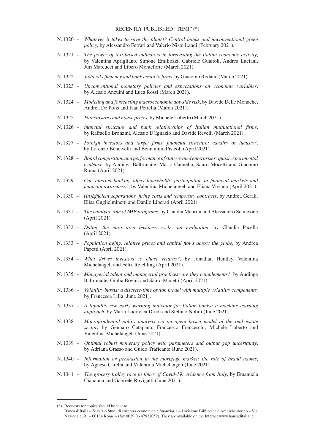#### RECENTLY PUBLISHED "TEMI" (\*)

- N. 1320 *Whatever it takes to save the planet? Central banks and unconventional green policy*, by Alessandro Ferrari and Valerio Nispi Landi (February 2021).
- N. 1321 *The power of text-based indicators in forecasting the Italian economic activity*, by Valentina Aprigliano, Simone Emiliozzi, Gabriele Guaitoli, Andrea Luciani, Juri Marcucci and Libero Monteforte (March 2021).
- N. 1322 *Judicial efficiency and bank credit to firms*, by Giacomo Rodano (March 2021).
- N. 1323 *Unconventional monetary policies and expectations on economic variables*, by Alessio Anzuini and Luca Rossi (March 2021).
- N. 1324 *Modeling and forecasting macroeconomic dowside risk*, by Davide Delle Monache, Andrea De Polis and Ivan Petrella (March 2021).
- N. 1325 *Foreclosures and house prices*, by Michele Loberto (March 2021).
- N. 1326 *inancial structure and bank relationships of Italian multinational firms*, by Raffaello Bronzini, Alessio D'Ignazio and Davide Revelli (March 2021).
- N. 1327 *Foreign investors and target firms' financial structure: cavalry or lucusts?*, by Lorenzo Bencivelli and Beniamino Pisicoli (April 2021).
- N. 1328 *Board composition and performance of state-owned enterprises: quasi experimental evidence*, by Audinga Baltrunaite, Mario Cannella, Sauro Mocetti and Giacomo Roma (April 2021).
- N. 1329 *Can internet banking affect households' participation in financial markets and financial awareness?*, by Valentina Michelangeli and Eliana Viviano (April 2021).
- N. 1330 *(In)Efficient separations, firing costs and temporary contracts*, by Andrea Gerali, Elisa Guglielminetti and Danilo Liberati (April 2021).
- N. 1331 *The catalytic role of IMF programs*, by Claudia Maurini and Alessandro Schiavone (April 2021).
- N. 1332 *Dating the euro area business cycle: an evaluation*, by Claudia Pacella (April 2021).
- N. 1333 *Population aging, relative prices and capital flows across the globe*, by Andrea Papetti (April 2021).
- N. 1334 *What drives investors to chase returns?*, by Jonathan Huntley, Valentina Michelangeli and Felix Reichling (April 2021).
- N. 1335 *Managerial talent and managerial practices: are they complements?*, by Audinga Baltrunaite, Giulia Bovini and Sauro Mocetti (April 2021).
- N. 1336 *Volatility bursts: a discrete-time option model with multiple volatility components,*  by Francesca Lilla (June 2021).
- N. 1337 *A liquidity risk early warning indicator for Italian banks: a machine learning approach*, by Maria Ludovica Drudi and Stefano Nobili (June 2021).
- N. 1338 *Macroprudential policy analysis via an agent based model of the real estate sector*, by Gennaro Catapano, Francesco Franceschi, Michele Loberto and Valentina Michelangeli (June 2021).
- N. 1339 *Optimal robust monetary policy with parameters and output gap uncertainty*, by Adriana Grasso and Guido Traficante (June 2021).
- N. 1340 *Information or persuasion in the mortgage market: the role of brand names*, by Agnese Carella and Valentina Michelangeli (June 2021).
- N. 1341 *The grocery trolley race in times of Covid-19: evidence from Italy*, by Emanuela Ciapanna and Gabriele Rovigatti (June 2021).

<sup>(\*)</sup> Requests for copies should be sent to:

Banca d'Italia – Servizio Studi di struttura economica e finanziaria – Divisione Biblioteca e Archivio storico – Via Nazionale, 91 – 00184 Rome – (fax 0039 06 47922059). They are available on the Internet www.bancaditalia.it.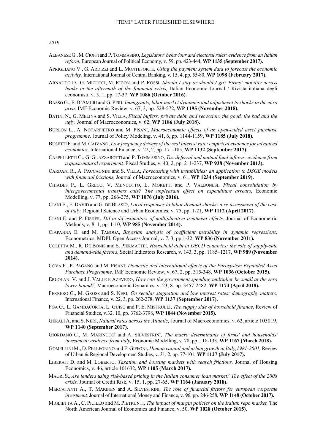*2019* 

- ALBANESE G.,M.CIOFFI and P.TOMMASINO, *Legislators' behaviour and electoral rules: evidence from an Italian reform,* European Journal of Political Economy, v. 59, pp. 423-444, **WP 1135 (September 2017).**
- APRIGLIANO V., G. ARDIZZI and L. MONTEFORTE, *Using the payment system data to forecast the economic activity,* International Journal of Central Banking, v. 15, 4, pp. 55-80, **WP 1098 (February 2017).**
- ARNAUDO D., G. MICUCCI, M. RIGON and P. ROSSI, *Should I stay or should I go? Firms' mobility across banks in the aftermath of the financial crisis,* Italian Economic Journal / Rivista italiana degli economisti, v. 5, 1, pp. 17-37, **WP 1086 (October 2016).**
- BASSO G., F. D'AMURI and G. PERI, *Immigrants, labor market dynamics and adjustment to shocks in the euro area,* IMF Economic Review, v. 67, 3, pp. 528-572, **WP 1195 (November 2018).**
- BATINI N., G. MELINA and S. VILLA, *Fiscal buffers, private debt, and recession: the good, the bad and the ugly,* Journal of Macroeconomics, v. 62, **WP 1186 (July 2018).**
- BURLON L., A. NOTARPIETRO and M. PISANI, *Macroeconomic effects of an open-ended asset purchase programme,* Journal of Policy Modeling, v. 41, 6, pp. 1144-1159, **WP 1185 (July 2018).**
- BUSETTI F. and M.CAIVANO, *Low frequency drivers of the real interest rate: empirical evidence for advanced economies,* International Finance, v. 22, 2, pp. 171-185, **WP 1132 (September 2017).**
- CAPPELLETTI G., G. GUAZZAROTTI and P. TOMMASINO, *Tax deferral and mutual fund inflows: evidence from a quasi-natural experiment,* Fiscal Studies, v. 40, 2, pp. 211-237, **WP 938 (November 2013).**
- CARDANI R., A. PACCAGNINI and S. VILLA, *Forecasting with instabilities: an application to DSGE models with financial frictions,* Journal of Macroeconomics, v. 61, **WP 1234 (September 2019).**
- CHIADES P., L. GRECO, V. MENGOTTO, L. MORETTI and P. VALBONESI, *Fiscal consolidation by intergovernmental transfers cuts? The unpleasant effect on expenditure arrears,* Economic Modelling, v. 77, pp. 266-275, **WP 1076 (July 2016).**
- CIANI E., F. DAVID and G. DE BLASIO, *Local responses to labor demand shocks: a re-assessment of the case of Italy,* Regional Science and Urban Economics, v. 75, pp. 1-21, **WP 1112 (April 2017).**
- CIANI E. and P. FISHER, *Dif-in-dif estimators of multiplicative treatment effects,* Journal of Econometric Methods, v. 8. 1, pp. 1-10, **WP 985 (November 2014).**
- CIAPANNA E. and M. TABOGA, *Bayesian analysis of coefficient instability in dynamic regressions,* Econometrics, MDPI, Open Access Journal, v. 7, 3, pp.1-32, **WP 836 (November 2011).**
- COLETTA M., R. DE BONIS and S. PIERMATTEI, *Household debt in OECD countries: the role of supply-side and demand-side factors,* Social Indicators Research, v. 143, 3, pp. 1185–1217, **WP 989 (November 2014).**
- COVA P., P. PAGANO and M. PISANI, *Domestic and international effects of the Eurosystem Expanded Asset Purchase Programme,* IMF Economic Review, v. 67, 2, pp. 315-348, **WP 1036 (October 2015).**
- ERCOLANI V. and J. VALLE E AZEVEDO, *How can the government spending multiplier be small at the zero lower bound?,* Macroeconomic Dynamics, v. 23, 8. pp. 3457-2482, **WP 1174 (April 2018).**
- FERRERO G., M. GROSS and S. NERI, *On secular stagnation and low interest rates: demography matters,* International Finance, v. 22, 3, pp. 262-278, **WP 1137 (September 2017).**
- FOA G., L. GAMBACORTA, L. GUISO and P. E. MISTRULLI, *The supply side of household finance,* Review of Financial Studies, v.32, 10, pp. 3762-3798, **WP 1044 (November 2015).**
- GERALI A. and S. NERI, *Natural rates across the Atlantic,* Journal of Macroeconomics, v. 62, article 103019, **WP 1140 (September 2017).**
- GIORDANO C., M. MARINUCCI and A. SILVESTRINI, *The macro determinants of firms' and households' investment: evidence from Italy,* Economic Modelling, v. 78, pp. 118-133, **WP 1167 (March 2018).**
- GOMELLINI M., D. PELLEGRINO and F. GIFFONI, *Human capital and urban growth in Italy,1981-2001,* Review of Urban & Regional Development Studies, v. 31, 2, pp. 77-101, **WP 1127 (July 2017).**
- LIBERATI D. and M. LOBERTO, *Taxation and housing markets with search frictions,* Journal of Housing Economics, v. 46, article 101632, **WP 1105 (March 2017).**
- MAGRI S., *Are lenders using risk-based pricing in the Italian consumer loan market? The effect of the 2008 crisis,* Journal of Credit Risk, v. 15, 1, pp. 27-65, **WP 1164 (January 2018).**
- MERCATANTI A., T. MAKINEN and A. SILVESTRINI, *The role of financial factors for european corporate investment,* Journal of International Money and Finance, v. 96, pp. 246-258, **WP 1148 (October 2017).**
- MIGLIETTA A., C. PICILLO and M. PIETRUNTI, *The impact of margin policies on the Italian repo market,* The North American Journal of Economics and Finance, v. 50, **WP 1028 (October 2015).**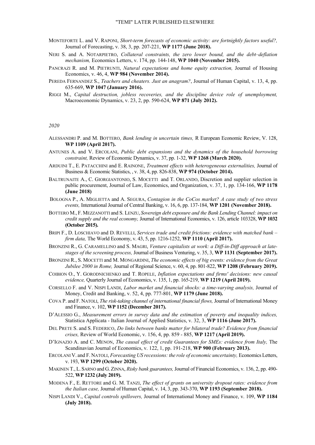- MONTEFORTE L. and V. RAPONI, *Short-term forecasts of economic activity: are fortnightly factors useful?,* Journal of Forecasting, v. 38, 3, pp. 207-221, **WP 1177 (June 2018).**
- NERI S. and A. NOTARPIETRO, *Collateral constraints, the zero lower bound, and the debt–deflation mechanism,* Economics Letters, v. 174, pp. 144-148, **WP 1040 (November 2015).**
- PANCRAZI R. and M. PIETRUNTI, *Natural expectations and home equity extraction,* Journal of Housing Economics, v. 46, 4, **WP 984 (November 2014).**
- PEREDA FERNANDEZ S., *Teachers and cheaters. Just an anagram?*, Journal of Human Capital, v. 13, 4, pp. 635-669, **WP 1047 (January 2016).**
- RIGGI M., *Capital destruction, jobless recoveries, and the discipline device role of unemployment,* Macroeconomic Dynamics, v. 23, 2, pp. 590-624, **WP 871 (July 2012).**

*2020* 

- ALESSANDRI P. and M. BOTTERO, *Bank lending in uncertain times,* R European Economic Review, V. 128, **WP 1109 (April 2017).**
- ANTUNES A. and V. ERCOLANI, *Public debt expansions and the dynamics of the household borrowing constraint,* Review of Economic Dynamics, v. 37, pp. 1-32, **WP 1268 (March 2020).**
- ARDUINI T., E. PATACCHINI and E. RAINONE, *Treatment effects with heterogeneous externalities,* Journal of Business & Economic Statistics, , v. 38, 4, pp. 826-838, **WP 974 (October 2014).**
- BALTRUNAITE A., C. GIORGIANTONIO, S. MOCETTI and T. ORLANDO, Discretion and supplier selection in public procurement, Journal of Law, Economics, and Organization, v. 37, 1, pp. 134-166, **WP 1178 (June 2018)**
- BOLOGNA P., A. MIGLIETTA and A. SEGURA, *Contagion in the CoCos market? A case study of two stress events,* International Journal of Central Banking, v. 16, 6, pp. 137-184, **WP 1201 (November 2018).**
- BOTTERO M., F. MEZZANOTTI and S. LENZU, *Sovereign debt exposure and the Bank Lending Channel: impact on credit supply and the real economy,* Journal of International Economics, v. 126, article 103328, **WP 1032 (October 2015).**
- BRIPI F., D. LOSCHIAVO and D. REVELLI, *Services trade and credit frictions: evidence with matched bank firm data,* The World Economy, v. 43, 5, pp. 1216-1252, **WP 1110 (April 2017).**
- BRONZINI R., G. CARAMELLINO and S. MAGRI, *Venture capitalists at work: a Diff-in-Diff approach at latestages of the screening process,* Journal of Business Venturing, v. 35, 3, **WP 1131 (September 2017).**
- BRONZINI R., S. MOCETTI and M. MONGARDINI, *The economic effects of big events: evidence from the Great Jubilee 2000 in Rome,* Journal of Regional Science, v. 60, 4, pp. 801-822, **WP 1208 (February 2019).**
- COIBION O., Y. GORODNICHENKO and T. ROPELE, *Inflation expectations and firms' decisions: new causal evidence,* Quarterly Journal of Economics, v. 135, 1, pp. 165-219, **WP 1219 (April 2019).**
- CORSELLO F. and V. NISPI LANDI, *Labor market and financial shocks: a time-varying analysis,* Journal of Money, Credit and Banking, v. 52, 4, pp. 777-801, **WP 1179 (June 2018).**
- COVA P. and F. NATOLI, *The risk-taking channel of international financial flows,* Journal of International Money and Finance, v. 102, **WP 1152 (December 2017).**
- D'ALESSIO G., *Measurement errors in survey data and the estimation of poverty and inequality indices,* Statistica Applicata - Italian Journal of Applied Statistics, v. 32, 3, **WP 1116 (June 2017).**
- DEL PRETE S. and S. FEDERICO, *Do links between banks matter for bilateral trade? Evidence from financial crises,* Review of World Economic, v. 156, 4, pp. 859 - 885, **WP 1217 (April 2019).**
- D'IGNAZIO A. and C. MENON, *The causal effect of credit Guarantees for SMEs: evidence from Italy,* The Scandinavian Journal of Economics, v. 122, 1, pp. 191-218, **WP 900 (February 2013).**
- ERCOLANI V. and F. NATOLI, *Forecasting US recessions: the role of economic uncertainty,* Economics Letters, v. 193, **WP 1299 (October 2020).**
- MAKINEN T.,L. SARNO and G.ZINNA, *Risky bank guarantees,* Journal of Financial Economics, v. 136, 2, pp. 490- 522, **WP 1232 (July 2019).**
- MODENA F., E. RETTORE and G. M. TANZI, *The effect of grants on university dropout rates: evidence from the Italian case,* Journal of Human Capital, v. 14, 3, pp. 343-370, **WP 1193 (September 2018).**
- NISPI LANDI V., *Capital controls spillovers,* Journal of International Money and Finance, v. 109, **WP 1184 (July 2018).**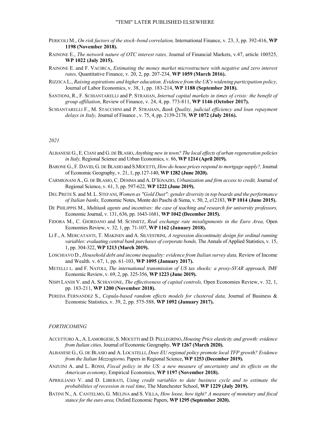- PERICOLI M., *On risk factors of the stock–bond correlation,* International Finance, v. 23, 3, pp. 392-416, **WP 1198 (November 2018).**
- RAINONE E., *The network nature of OTC interest rates,* Journal of Financial Markets, v.47, article 100525, **WP 1022 (July 2015).**
- RAINONE E. and F. VACIRCA, *Estimating the money market microstructure with negative and zero interest rates,* Quantitative Finance, v. 20, 2, pp. 207-234, **WP 1059 (March 2016).**
- RIZZICA L., *Raising aspirations and higher education. Evidence from the UK's widening participation policy,* Journal of Labor Economics, v. 38, 1, pp. 183-214, **WP 1188 (September 2018).**
- SANTIONI, R., F. SCHIANTARELLI and P. STRAHAN, *Internal capital markets in times of crisis: the benefit of group affiliation*, Review of Finance, v. 24, 4, pp. 773-811, **WP 1146 (October 2017).**
- SCHIANTARELLI F., M. STACCHINI and P. STRAHAN, *Bank Quality, judicial efficiency and loan repayment delays in Italy,* Journal of Finance , v. 75, 4, pp. 2139-2178, **WP 1072 (July 2016).**

#### *2021*

- ALBANESE G.,E.CIANI and G. DE BLASIO,*Anything new in town? The local effects of urban regeneration policies in Italy,* Regional Science and Urban Economics, v. 86, **WP 1214 (April 2019).**
- BARONE G., F. DAVID, G. DE BLASIO and S.MOCETTI, *How do house prices respond to mortgage supply?,* Journal of Economic Geography, v. 21, 1, pp.127-140, **WP 1282 (June 2020).**
- CARMIGNANI A., G. DE BLASIO, C. DEMMA and A. D'IGNAZIO, *Urbanization and firm access to credit,* Journal of Regional Science, v. 61, 3, pp. 597-622, **WP 1222 (June 2019).**
- DEL PRETE S. and M.L. STEFANI, *Women as "Gold Dust": gender diversity in top boards and the performance of Italian banks,* Economic Notes, Monte dei Paschi di Siena, v. 50, 2, e12183, **WP 1014 (June 2015).**
- DE PHILIPPIS M., *Multitask agents and incentives: the case of teaching and research for university professors,* Economic Journal, v. 131, 636, pp. 1643-1681, **WP 1042 (December 2015).**
- FIDORA M., C. GIORDANO and M. SCHMITZ, *Real exchange rate misalignments in the Euro Area,* Open Economies Review, v. 32, 1, pp. 71-107, **WP 1162 (January 2018).**
- LI F., A. MERCATANTI, T. MAKINEN and A. SILVESTRINI, *A regression discontinuity design for ordinal running variables: evaluating central bank purchases of corporate bonds,* The Annals of Applied Statistics, v. 15, 1, pp. 304-322, **WP 1213 (March 2019).**
- LOSCHIAVO D., *Household debt and income inequality: evidence from Italian survey data,* Review of Income and Wealth. v. 67, 1, pp. 61-103, **WP 1095 (January 2017).**
- METELLI L. and F. NATOLI, *The international transmission of US tax shocks: a proxy-SVAR approach,* IMF Economic Review, v. 69, 2, pp. 325-356, **WP 1223 (June 2019).**
- NISPI LANDI V. and A. SCHIAVONE, *The effectiveness of capital controls,* Open Economies Review, v. 32, 1, pp. 183-211, **WP 1200 (November 2018).**
- PEREDA FERNANDEZ S., *Copula-based random effects models for clustered data,* Journal of Business & Economic Statistics, v. 39, 2, pp. 575-588, **WP 1092 (January 2017).**

#### *FORTHCOMING*

- ACCETTURO A., A. LAMORGESE, S. MOCETTI and D. PELLEGRINO, *Housing Price elasticity and growth: evidence from Italian cities,* Journal of Economic Geography, **WP 1267 (March 2020).**
- ALBANESE G., G. DE BLASIO and A. LOCATELLI, *Does EU regional policy promote local TFP growth? Evidence from the Italian Mezzogiorno,* Papers in Regional Science, **WP 1253 (December 2019).**
- ANZUINI A. and L. ROSSI, *Fiscal policy in the US: a new measure of uncertainty and its effects on the American economy*, Empirical Economics, **WP 1197 (November 2018).**
- APRIGLIANO V. and D. LIBERATI, *Using credit variables to date business cycle and to estimate the probabilities of recession in real time*, The Manchester School, **WP 1229 (July 2019).**
- BATINI N., A. CANTELMO, G. MELINA and S. VILLA, *How loose, how tight? A measure of monetary and fiscal stance for the euro area,* Oxford Economic Papers, **WP 1295 (September 2020).**